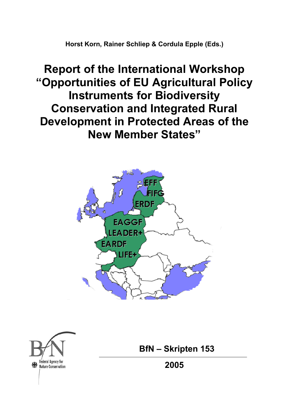**Horst Korn, Rainer Schliep & Cordula Epple (Eds.)** 

**Report of the International Workshop "Opportunities of EU Agricultural Policy Instruments for Biodiversity Conservation and Integrated Rural Development in Protected Areas of the New Member States"** 





 **BfN – Skripten 153** 

 **2005**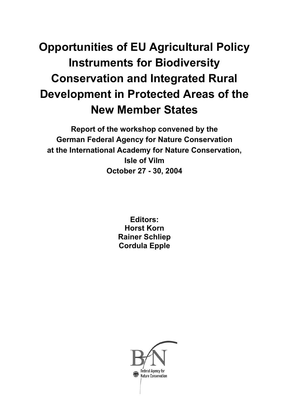# **Opportunities of EU Agricultural Policy Instruments for Biodiversity Conservation and Integrated Rural Development in Protected Areas of the New Member States**

**Report of the workshop convened by the German Federal Agency for Nature Conservation at the International Academy for Nature Conservation, Isle of Vilm October 27 - 30, 2004** 

> **Editors: Horst Korn Rainer Schliep Cordula Epple**

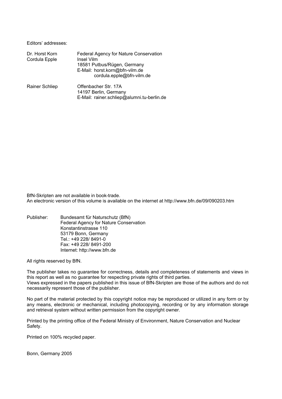Editors' addresses:

| Dr. Horst Korn<br>Cordula Epple | Federal Agency for Nature Conservation<br>Insel Vilm<br>18581 Putbus/Rügen, Germany<br>E-Mail: horst.korn@bfn-vilm.de<br>cordula.epple@bfn-vilm.de |
|---------------------------------|----------------------------------------------------------------------------------------------------------------------------------------------------|
| <b>Rainer Schliep</b>           | Offenbacher Str. 17A<br>14197 Berlin, Germany<br>E-Mail: rainer.schliep@alumni.tu-berlin.de                                                        |

BfN-Skripten are not available in book-trade. An electronic version of this volume is available on the internet at http://www.bfn.de/09/090203.htm

Publisher: Bundesamt für Naturschutz (BfN) Federal Agency for Nature Conservation Konstantinstrasse 110 53179 Bonn, Germany Tel.: +49 228/ 8491-0 Fax: +49 228/ 8491-200 Internet: http://www.bfn.de

All rights reserved by BfN.

The publisher takes no guarantee for correctness, details and completeness of statements and views in this report as well as no guarantee for respecting private rights of third parties. Views expressed in the papers published in this issue of BfN-Skripten are those of the authors and do not necessarily represent those of the publisher.

No part of the material protected by this copyright notice may be reproduced or utilized in any form or by any means, electronic or mechanical, including photocopying, recording or by any information storage and retrieval system without written permission from the copyright owner.

Printed by the printing office of the Federal Ministry of Environment, Nature Conservation and Nuclear Safety.

Printed on 100% recycled paper.

Bonn, Germany 2005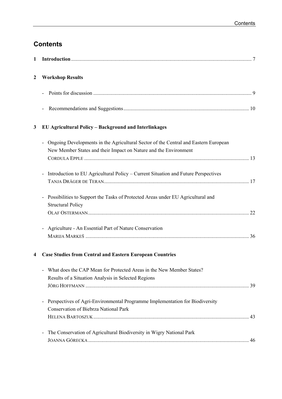# **Contents**

| 1            |                                                                                                                                                         |
|--------------|---------------------------------------------------------------------------------------------------------------------------------------------------------|
| $\mathbf{2}$ | <b>Workshop Results</b>                                                                                                                                 |
|              |                                                                                                                                                         |
|              |                                                                                                                                                         |
| 3            | EU Agricultural Policy - Background and Interlinkages                                                                                                   |
|              | Ongoing Developments in the Agricultural Sector of the Central and Eastern European<br>New Member States and their Impact on Nature and the Environment |
|              | Introduction to EU Agricultural Policy - Current Situation and Future Perspectives<br>$\qquad \qquad \blacksquare$                                      |
|              | Possibilities to Support the Tasks of Protected Areas under EU Agricultural and<br>$\blacksquare$<br><b>Structural Policy</b>                           |
|              | Agriculture - An Essential Part of Nature Conservation<br>$\qquad \qquad \blacksquare$                                                                  |
| 4            | <b>Case Studies from Central and Eastern European Countries</b>                                                                                         |
|              | What does the CAP Mean for Protected Areas in the New Member States?<br>Results of a Situation Analysis in Selected Regions                             |
|              | Perspectives of Agri-Environmental Programme Implementation for Biodiversity<br>$\qquad \qquad \blacksquare$<br>Conservation of Biebrza National Park   |
|              | The Conservation of Agricultural Biodiversity in Wigry National Park                                                                                    |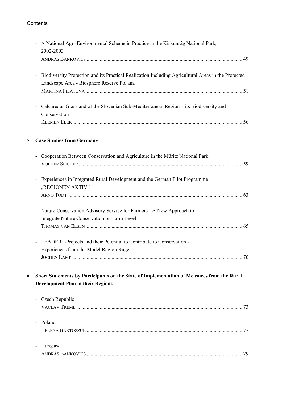|   | A National Agri-Environmental Scheme in Practice in the Kiskunság National Park,<br>2002-2003                                                                                 |  |
|---|-------------------------------------------------------------------------------------------------------------------------------------------------------------------------------|--|
|   |                                                                                                                                                                               |  |
|   | Biodiversity Protection and its Practical Realization Including Agricultural Areas in the Protected<br>$\overline{\phantom{a}}$<br>Landscape Area - Biosphere Reserve Pol'ana |  |
|   | Calcareous Grassland of the Slovenian Sub-Mediterranean Region – its Biodiversity and<br>Conservation                                                                         |  |
| 5 | <b>Case Studies from Germany</b>                                                                                                                                              |  |
|   | Cooperation Between Conservation and Agriculture in the Müritz National Park                                                                                                  |  |
|   | Experiences in Integrated Rural Development and the German Pilot Programme<br>"REGIONEN AKTIV"                                                                                |  |
|   | Nature Conservation Advisory Service for Farmers - A New Approach to<br>Integrate Nature Conservation on Farm Level                                                           |  |
|   | LEADER+-Projects and their Potential to Contribute to Conservation -<br>Experiences from the Model Region Rügen                                                               |  |
| 6 | Short Statements by Participants on the State of Implementation of Measures from the Rural<br><b>Development Plan in their Regions</b>                                        |  |
|   | Czech Republic                                                                                                                                                                |  |
|   | - Poland                                                                                                                                                                      |  |
|   | Hungary<br>$\blacksquare$                                                                                                                                                     |  |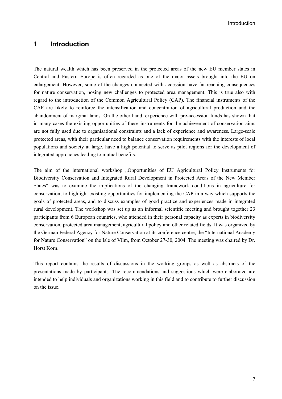# **1 Introduction**

The natural wealth which has been preserved in the protected areas of the new EU member states in Central and Eastern Europe is often regarded as one of the major assets brought into the EU on enlargement. However, some of the changes connected with accession have far-reaching consequences for nature conservation, posing new challenges to protected area management. This is true also with regard to the introduction of the Common Agricultural Policy (CAP). The financial instruments of the CAP are likely to reinforce the intensification and concentration of agricultural production and the abandonment of marginal lands. On the other hand, experience with pre-accession funds has shown that in many cases the existing opportunities of these instruments for the achievement of conservation aims are not fully used due to organisational constraints and a lack of experience and awareness. Large-scale protected areas, with their particular need to balance conservation requirements with the interests of local populations and society at large, have a high potential to serve as pilot regions for the development of integrated approaches leading to mutual benefits.

The aim of the international workshop "Opportunities of EU Agricultural Policy Instruments for Biodiversity Conservation and Integrated Rural Development in Protected Areas of the New Member States" was to examine the implications of the changing framework conditions in agriculture for conservation, to highlight existing opportunities for implementing the CAP in a way which supports the goals of protected areas, and to discuss examples of good practice and experiences made in integrated rural development. The workshop was set up as an informal scientific meeting and brought together 23 participants from 6 European countries, who attended in their personal capacity as experts in biodiversity conservation, protected area management, agricultural policy and other related fields. It was organized by the German Federal Agency for Nature Conservation at its conference centre, the "International Academy for Nature Conservation" on the Isle of Vilm, from October 27-30, 2004. The meeting was chaired by Dr. Horst Korn.

This report contains the results of discussions in the working groups as well as abstracts of the presentations made by participants. The recommendations and suggestions which were elaborated are intended to help individuals and organizations working in this field and to contribute to further discussion on the issue.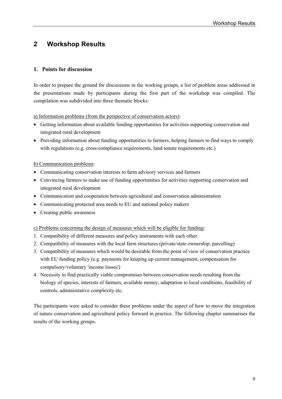# **2 Workshop Results**

# **1. Points for discussion**

In order to prepare the ground for discussions in the working groups, a list of problem areas addressed in the presentations made by participants during the first part of the workshop was compiled. The compilation was subdivided into three thematic blocks:

a) Information problems (from the perspective of conservation actors):

- Getting information about available funding opportunities for activities supporting conservation and integrated rural development
- Providing information about funding opportunities to farmers, helping farmers to find ways to comply with regulations (e.g. cross-compliance requirements, land tenure requirements etc.)

## b) Communication problems:

- Communicating conservation interests to farm advisory services and farmers
- Convincing farmers to make use of funding opportunities for activities supporting conservation and integrated rural development
- Communication and cooperation between agricultural and conservation administration
- Communicating protected area needs to EU and national policy makers
- Creating public awareness

c) Problems concerning the design of measures which will be eligible for funding:

- 1. Compatibility of different measures and policy instruments with each other
- 2. Compatibility of measures with the local farm structures (private/state ownership, parcelling)
- 3. Compatibility of measures which would be desirable from the point of view of conservation practice with EU funding policy (e.g. payments for keeping up current management, compensation for compulsory/voluntary 'income losses')
- 4. Necessity to find practically viable compromises between conservation needs resulting from the biology of species, interests of farmers, available money, adaptation to local conditions, feasibility of controls, administrative complexity etc.

The participants were asked to consider these problems under the aspect of how to move the integration of nature conservation and agricultural policy forward in practice. The following chapter summarises the results of the working groups.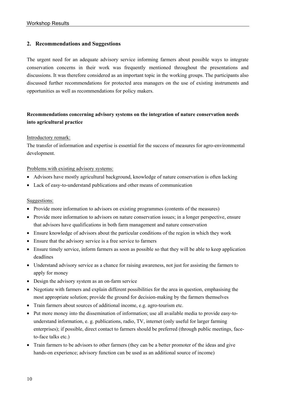# **2. Recommendations and Suggestions**

The urgent need for an adequate advisory service informing farmers about possible ways to integrate conservation concerns in their work was frequently mentioned throughout the presentations and discussions. It was therefore considered as an important topic in the working groups. The participants also discussed further recommendations for protected area managers on the use of existing instruments and opportunities as well as recommendations for policy makers.

# **Recommendations concerning advisory systems on the integration of nature conservation needs into agricultural practice**

#### Introductory remark:

The transfer of information and expertise is essential for the success of measures for agro-environmental development.

#### Problems with existing advisory systems:

- Advisors have mostly agricultural background, knowledge of nature conservation is often lacking
- Lack of easy-to-understand publications and other means of communication

### Suggestions:

- Provide more information to advisors on existing programmes (contents of the measures)
- Provide more information to advisors on nature conservation issues; in a longer perspective, ensure that advisors have qualifications in both farm management and nature conservation
- Ensure knowledge of advisors about the particular conditions of the region in which they work
- Ensure that the advisory service is a free service to farmers
- Ensure timely service, inform farmers as soon as possible so that they will be able to keep application deadlines
- Understand advisory service as a chance for raising awareness, not just for assisting the farmers to apply for money
- Design the advisory system as an on-farm service
- Negotiate with farmers and explain different possibilities for the area in question, emphasising the most appropriate solution; provide the ground for decision-making by the farmers themselves
- Train farmers about sources of additional income, e.g. agro-tourism etc.
- Put more money into the dissemination of information; use all available media to provide easy-tounderstand information, e. g. publications, radio, TV, internet (only useful for larger farming enterprises); if possible, direct contact to farmers should be preferred (through public meetings, faceto-face talks etc.)
- Train farmers to be advisors to other farmers (they can be a better promoter of the ideas and give hands-on experience; advisory function can be used as an additional source of income)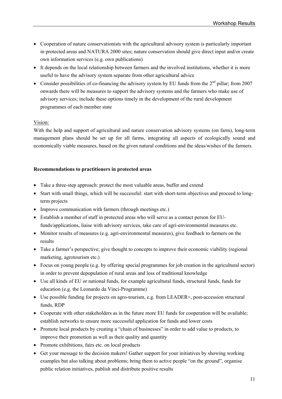- Cooperation of nature conservationists with the agricultural advisory system is particularly important in protected areas and NATURA 2000 sites; nature conservation should give direct input and/or create own information services (e.g. own publications)
- It depends on the local relationship between farmers and the involved institutions, whether it is more useful to have the advisory system separate from other agricultural advice
- Consider possibilities of co-financing the advisory system by EU funds from the  $2<sup>nd</sup>$  pillar; from 2007 onwards there will be measures to support the advisory systems and the farmers who make use of advisory services; include these options timely in the development of the rural development programmes of each member state

#### Vision:

With the help and support of agricultural and nature conservation advisory systems (on farm), long-term management plans should be set up for all farms, integrating all aspects of ecologically sound and economically viable measures, based on the given natural conditions and the ideas/wishes of the farmers.

#### **Recommendations to practitioners in protected areas**

- Take a three-step approach: protect the most valuable areas, buffer and extend
- Start with small things, which will be successful: start with short-term objectives and proceed to longterm projects
- Improve communication with farmers (through meetings etc.)
- Establish a member of staff in protected areas who will serve as a contact person for EUfunds/applications, liaise with advisory services, take care of agri-environmental measures etc.
- Monitor results of measures (e.g. agri-environmental measures), give feedback to farmers on the results
- Take a farmer's perspective; give thought to concepts to improve their economic viability (regional marketing, agrotourism etc.)
- Focus on young people (e.g. by offering special programmes for job creation in the agricultural sector) in order to prevent depopulation of rural areas and loss of traditional knowledge
- Use all kinds of EU or national funds, for example agricultural funds, structural funds, funds for education (e.g. the Leonardo da Vinci-Programme)
- Use possible funding for projects on agro-tourism, e.g. from LEADER+, post-accession structural funds, RDP
- Cooperate with other stakeholders as in the future more EU funds for cooperation will be available; establish networks to ensure more successful application for funds and lower costs
- Promote local products by creating a "chain of businesses" in order to add value to products, to improve their promotion as well as their quality and quantity
- Promote exhibitions, fairs etc. on local products
- Get your message to the decision makers! Gather support for your initiatives by showing working examples but also talking about problems; bring them to active people "on the ground", organise public relation initiatives, publish and distribute positive results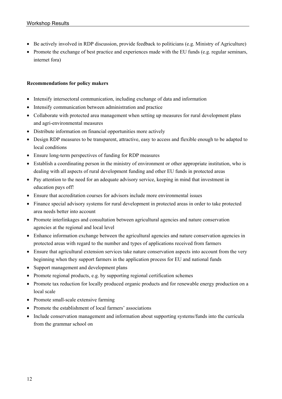- Be actively involved in RDP discussion, provide feedback to politicians (e.g. Ministry of Agriculture)
- Promote the exchange of best practice and experiences made with the EU funds (e.g. regular seminars, internet fora)

#### **Recommendations for policy makers**

- Intensify intersectoral communication, including exchange of data and information
- Intensify communication between administration and practice
- Collaborate with protected area management when setting up measures for rural development plans and agri-environmental measures
- Distribute information on financial opportunities more actively
- Design RDP measures to be transparent, attractive, easy to access and flexible enough to be adapted to local conditions
- Ensure long-term perspectives of funding for RDP measures
- Establish a coordinating person in the ministry of environment or other appropriate institution, who is dealing with all aspects of rural development funding and other EU funds in protected areas
- Pay attention to the need for an adequate advisory service, keeping in mind that investment in education pays off!
- Ensure that accreditation courses for advisors include more environmental issues
- Finance special advisory systems for rural development in protected areas in order to take protected area needs better into account
- Promote interlinkages and consultation between agricultural agencies and nature conservation agencies at the regional and local level
- Enhance information exchange between the agricultural agencies and nature conservation agencies in protected areas with regard to the number and types of applications received from farmers
- Ensure that agricultural extension services take nature conservation aspects into account from the very beginning when they support farmers in the application process for EU and national funds
- Support management and development plans
- Promote regional products, e.g. by supporting regional certification schemes
- Promote tax reduction for locally produced organic products and for renewable energy production on a local scale
- Promote small-scale extensive farming
- Promote the establishment of local farmers' associations
- Include conservation management and information about supporting systems/funds into the curricula from the grammar school on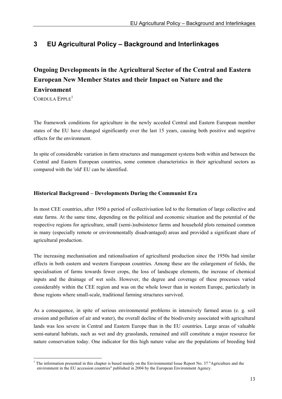# **3 EU Agricultural Policy – Background and Interlinkages**

# **Ongoing Developments in the Agricultural Sector of the Central and Eastern European New Member States and their Impact on Nature and the Environment**

CORDULA EPPLE<sup>1</sup>

The framework conditions for agriculture in the newly acceded Central and Eastern European member states of the EU have changed significantly over the last 15 years, causing both positive and negative effects for the environment.

In spite of considerable variation in farm structures and management systems both within and between the Central and Eastern European countries, some common characteristics in their agricultural sectors as compared with the 'old' EU can be identified.

# **Historical Background – Developments During the Communist Era**

In most CEE countries, after 1950 a period of collectivisation led to the formation of large collective and state farms. At the same time, depending on the political and economic situation and the potential of the respective regions for agriculture, small (semi-)subsistence farms and household plots remained common in many (especially remote or environmentally disadvantaged) areas and provided a significant share of agricultural production.

The increasing mechanisation and rationalisation of agricultural production since the 1950s had similar effects in both eastern and western European countries. Among these are the enlargement of fields, the specialisation of farms towards fewer crops, the loss of landscape elements, the increase of chemical inputs and the drainage of wet soils. However, the degree and coverage of these processes varied considerably within the CEE region and was on the whole lower than in western Europe, particularly in those regions where small-scale, traditional farming structures survived.

As a consequence, in spite of serious environmental problems in intensively farmed areas (e. g. soil erosion and pollution of air and water), the overall decline of the biodiversity associated with agricultural lands was less severe in Central and Eastern Europe than in the EU countries. Large areas of valuable semi-natural habitats, such as wet and dry grasslands, remained and still constitute a major resource for nature conservation today. One indicator for this high nature value are the populations of breeding bird

 $\overline{a}$ <sup>1</sup> The information presented in this chapter is based mainly on the Environmental Issue Report No. 37 "Agriculture and the environment in the EU accession countries" published in 2004 by the European Environment Agency.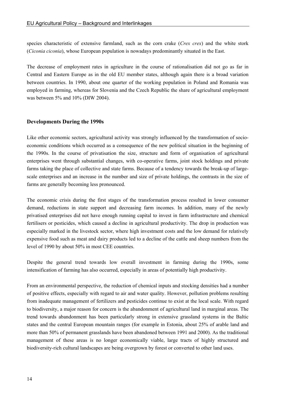species characteristic of extensive farmland, such as the corn crake (*Crex crex*) and the white stork (*Ciconia ciconia*), whose European population is nowadays predominantly situated in the East.

The decrease of employment rates in agriculture in the course of rationalisation did not go as far in Central and Eastern Europe as in the old EU member states, although again there is a broad variation between countries. In 1990, about one quarter of the working population in Poland and Romania was employed in farming, whereas for Slovenia and the Czech Republic the share of agricultural employment was between 5% and 10% (DIW 2004).

#### **Developments During the 1990s**

Like other economic sectors, agricultural activity was strongly influenced by the transformation of socioeconomic conditions which occurred as a consequence of the new political situation in the beginning of the 1990s. In the course of privatisation the size, structure and form of organisation of agricultural enterprises went through substantial changes, with co-operative farms, joint stock holdings and private farms taking the place of collective and state farms. Because of a tendency towards the break-up of largescale enterprises and an increase in the number and size of private holdings, the contrasts in the size of farms are generally becoming less pronounced.

The economic crisis during the first stages of the transformation process resulted in lower consumer demand, reductions in state support and decreasing farm incomes. In addition, many of the newly privatised enterprises did not have enough running capital to invest in farm infrastructure and chemical fertilisers or pesticides, which caused a decline in agricultural productivity. The drop in production was especially marked in the livestock sector, where high investment costs and the low demand for relatively expensive food such as meat and dairy products led to a decline of the cattle and sheep numbers from the level of 1990 by about 50% in most CEE countries.

Despite the general trend towards low overall investment in farming during the 1990s, some intensification of farming has also occurred, especially in areas of potentially high productivity.

From an environmental perspective, the reduction of chemical inputs and stocking densities had a number of positive effects, especially with regard to air and water quality. However, pollution problems resulting from inadequate management of fertilizers and pesticides continue to exist at the local scale. With regard to biodiversity, a major reason for concern is the abandonment of agricultural land in marginal areas. The trend towards abandonment has been particularly strong in extensive grassland systems in the Baltic states and the central European mountain ranges (for example in Estonia, about 25% of arable land and more than 50% of permanent grasslands have been abandoned between 1991 and 2000). As the traditional management of these areas is no longer economically viable, large tracts of highly structured and biodiversity-rich cultural landscapes are being overgrown by forest or converted to other land uses.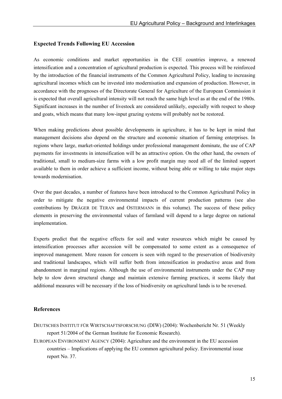#### **Expected Trends Following EU Accession**

As economic conditions and market opportunities in the CEE countries improve, a renewed intensification and a concentration of agricultural production is expected. This process will be reinforced by the introduction of the financial instruments of the Common Agricultural Policy, leading to increasing agricultural incomes which can be invested into modernisation and expansion of production. However, in accordance with the prognoses of the Directorate General for Agriculture of the European Commission it is expected that overall agricultural intensity will not reach the same high level as at the end of the 1980s. Significant increases in the number of livestock are considered unlikely, especially with respect to sheep and goats, which means that many low-input grazing systems will probably not be restored.

When making predictions about possible developments in agriculture, it has to be kept in mind that management decisions also depend on the structure and economic situation of farming enterprises. In regions where large, market-oriented holdings under professional management dominate, the use of CAP payments for investments in intensification will be an attractive option. On the other hand, the owners of traditional, small to medium-size farms with a low profit margin may need all of the limited support available to them in order achieve a sufficient income, without being able or willing to take major steps towards modernisation.

Over the past decades, a number of features have been introduced to the Common Agricultural Policy in order to mitigate the negative environmental impacts of current production patterns (see also contributions by DRÄGER DE TERAN and OSTERMANN in this volume). The success of these policy elements in preserving the environmental values of farmland will depend to a large degree on national implementation.

Experts predict that the negative effects for soil and water resources which might be caused by intensification processes after accession will be compensated to some extent as a consequence of improved management. More reason for concern is seen with regard to the preservation of biodiversity and traditional landscapes, which will suffer both from intensification in productive areas and from abandonment in marginal regions. Although the use of environmental instruments under the CAP may help to slow down structural change and maintain extensive farming practices, it seems likely that additional measures will be necessary if the loss of biodiversity on agricultural lands is to be reversed.

## **References**

- DEUTSCHES INSTITUT FÜR WIRTSCHAFTSFORSCHUNG (DIW) (2004): Wochenbericht Nr. 51 (Weekly report 51/2004 of the German Institute for Economic Research).
- EUROPEAN ENVIRONMENT AGENCY (2004): Agriculture and the environment in the EU accession countries – Implications of applying the EU common agricultural policy. Environmental issue report No. 37.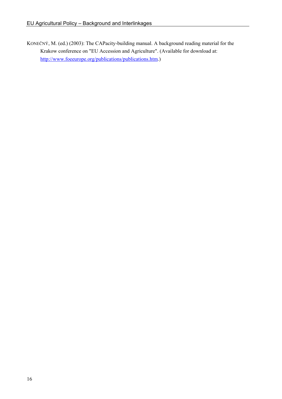KONEČNÝ, M. (ed.) (2003): The CAPacity-building manual. A background reading material for the Krakow conference on "EU Accession and Agriculture". (Available for download at: http://www.foeeurope.org/publications/publications.htm.)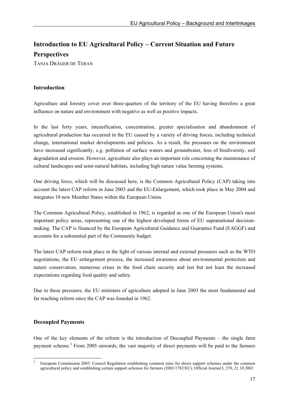# **Introduction to EU Agricultural Policy – Current Situation and Future Perspectives**

TANJA DRÄGER DE TERAN

# **Introduction**

Agriculture and forestry cover over three-quarters of the territory of the EU having therefore a great influence on nature and environment with negative as well as positive impacts.

In the last forty years, intensification, concentration, greater specialisation and abandonment of agricultural production has occurred in the EU caused by a variety of driving forces, including technical change, international market developments and policies. As a result, the pressures on the environment have increased significantly, e.g. pollution of surface waters and groundwater, loss of biodiversity, soil degradation and erosion. However, agriculture also plays an important role concerning the maintenance of cultural landscapes and semi-natural habitats, including high nature value farming systems.

One driving force, which will be discussed here, is the Common Agricultural Policy (CAP) taking into account the latest CAP reform in June 2003 and the EU-Enlargement, which took place in May 2004 and integrates 10 new Member States within the European Union.

The Common Agricultural Policy, established in 1962, is regarded as one of the European Union's most important policy areas, representing one of the highest developed forms of EU supranational decisionmaking. The CAP is financed by the European Agricultural Guidance and Guarantee Fund (EAGGF) and accounts for a substantial part of the Community budget.

The latest CAP reform took place in the light of various internal and external pressures such as the WTO negotiations, the EU enlargement process, the increased awareness about environmental protection and nature conservation, numerous crises in the food chain security and last but not least the increased expectations regarding food quality and safety.

Due to these pressures, the EU ministers of agriculture adopted in June 2003 the most fundamental and far reaching reform since the CAP was founded in 1962.

# **Decoupled Payments**

One of the key elements of the reform is the introduction of Decoupled Payments – the single farm payment scheme.<sup>2</sup> From 2005 onwards, the vast majority of direct payments will be paid to the farmers

 $\overline{a}$ 2 European Commission 2003: Council Regulation establishing common rules for direct support schemes under the common agricultural policy and establishing certain support schemes for farmers (2003/1782/EC), Official Journal L 270, 21.10.2003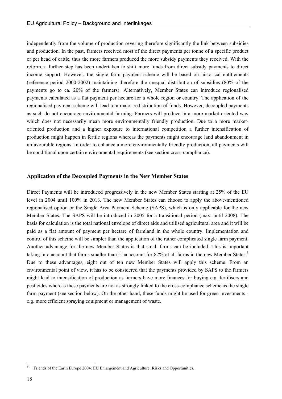independently from the volume of production severing therefore significantly the link between subsidies and production. In the past, farmers received most of the direct payments per tonne of a specific product or per head of cattle, thus the more farmers produced the more subsidy payments they received. With the reform, a further step has been undertaken to shift more funds from direct subsidy payments to direct income support. However, the single farm payment scheme will be based on historical entitlements (reference period 2000-2002) maintaining therefore the unequal distribution of subsidies (80% of the payments go to ca. 20% of the farmers). Alternatively, Member States can introduce regionalised payments calculated as a flat payment per hectare for a whole region or country. The application of the regionalised payment scheme will lead to a major redistribution of funds. However, decoupled payments as such do not encourage environmental farming. Farmers will produce in a more market-oriented way which does not necessarily mean more environmentally friendly production. Due to a more marketoriented production and a higher exposure to international competition a further intensification of production might happen in fertile regions whereas the payments might encourage land abandonment in unfavourable regions. In order to enhance a more environmentally friendly production, all payments will be conditional upon certain environmental requirements (see section cross-compliance).

#### **Application of the Decoupled Payments in the New Member States**

Direct Payments will be introduced progressively in the new Member States starting at 25% of the EU level in 2004 until 100% in 2013. The new Member States can choose to apply the above-mentioned regionalised option or the Single Area Payment Scheme (SAPS), which is only applicable for the new Member States. The SAPS will be introduced in 2005 for a transitional period (max. until 2008). The basis for calculation is the total national envelope of direct aids and utilised agricultural area and it will be paid as a flat amount of payment per hectare of farmland in the whole country. Implementation and control of this scheme will be simpler than the application of the rather complicated single farm payment. Another advantage for the new Member States is that small farms can be included. This is important taking into account that farms smaller than 5 ha account for 82% of all farms in the new Member States.<sup>3</sup> Due to these advantages, eight out of ten new Member States will apply this scheme. From an environmental point of view, it has to be considered that the payments provided by SAPS to the farmers might lead to intensification of production as farmers have more finances for buying e.g. fertilisers and pesticides whereas these payments are not as strongly linked to the cross-compliance scheme as the single farm payment (see section below). On the other hand, these funds might be used for green investments e.g. more efficient spraying equipment or management of waste.

 $\frac{1}{3}$ Friends of the Earth Europe 2004: EU Enlargement and Agriculture: Risks and Opportunities.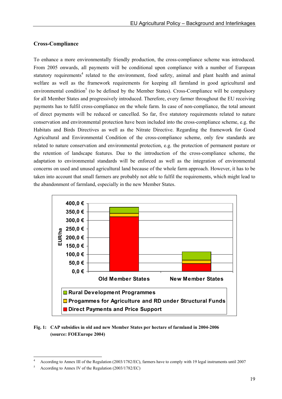#### **Cross-Compliance**

To enhance a more environmentally friendly production, the cross-compliance scheme was introduced. From 2005 onwards, all payments will be conditional upon compliance with a number of European statutory requirements<sup>4</sup> related to the environment, food safety, animal and plant health and animal welfare as well as the framework requirements for keeping all farmland in good agricultural and environmental condition<sup>5</sup> (to be defined by the Member States). Cross-Compliance will be compulsory for all Member States and progressively introduced. Therefore, every farmer throughout the EU receiving payments has to fulfil cross-compliance on the whole farm. In case of non-compliance, the total amount of direct payments will be reduced or cancelled. So far, five statutory requirements related to nature conservation and environmental protection have been included into the cross-compliance scheme, e.g. the Habitats and Birds Directives as well as the Nitrate Directive. Regarding the framework for Good Agricultural and Environmental Condition of the cross-compliance scheme, only few standards are related to nature conservation and environmental protection, e.g. the protection of permanent pasture or the retention of landscape features. Due to the introduction of the cross-compliance scheme, the adaptation to environmental standards will be enforced as well as the integration of environmental concerns on used and unused agricultural land because of the whole farm approach. However, it has to be taken into account that small farmers are probably not able to fulfil the requirements, which might lead to the abandonment of farmland, especially in the new Member States.



#### **Fig. 1: CAP subsidies in old and new Member States per hectare of farmland in 2004-2006 (source: FOEEurope 2004)**

 $\overline{a}$ 

<sup>4</sup> According to Annex III of the Regulation (2003/1782/EC), farmers have to comply with 19 legal instruments until 2007

<sup>5</sup> According to Annex IV of the Regulation (2003/1782/EC)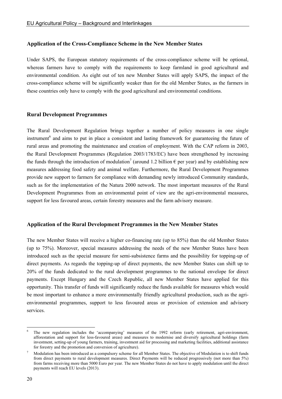#### **Application of the Cross-Compliance Scheme in the New Member States**

Under SAPS, the European statutory requirements of the cross-compliance scheme will be optional, whereas farmers have to comply with the requirements to keep farmland in good agricultural and environmental condition. As eight out of ten new Member States will apply SAPS, the impact of the cross-compliance scheme will be significantly weaker than for the old Member States, as the farmers in these countries only have to comply with the good agricultural and environmental conditions.

#### **Rural Development Programmes**

The Rural Development Regulation brings together a number of policy measures in one single instrument<sup>6</sup> and aims to put in place a consistent and lasting framework for guaranteeing the future of rural areas and promoting the maintenance and creation of employment. With the CAP reform in 2003, the Rural Development Programmes (Regulation 2003/1783/EC) have been strengthened by increasing the funds through the introduction of modulation<sup>7</sup> (around 1.2 billion  $\epsilon$  per year) and by establishing new measures addressing food safety and animal welfare. Furthermore, the Rural Development Programmes provide new support to farmers for compliance with demanding newly introduced Community standards, such as for the implementation of the Natura 2000 network. The most important measures of the Rural Development Programmes from an environmental point of view are the agri-environmental measures, support for less favoured areas, certain forestry measures and the farm advisory measure.

#### **Application of the Rural Development Programmes in the New Member States**

The new Member States will receive a higher co-financing rate (up to 85%) than the old Member States (up to 75%). Moreover, special measures addressing the needs of the new Member States have been introduced such as the special measure for semi-subsistence farms and the possibility for topping-up of direct payments. As regards the topping-up of direct payments, the new Member States can shift up to 20% of the funds dedicated to the rural development programmes to the national envelope for direct payments. Except Hungary and the Czech Republic, all new Member States have applied for this opportunity. This transfer of funds will significantly reduce the funds available for measures which would be most important to enhance a more environmentally friendly agricultural production, such as the agrienvironmental programmes, support to less favoured areas or provision of extension and advisory services.

 $\overline{a}$ 

<sup>6</sup> The new regulation includes the 'accompanying' measures of the 1992 reform (early retirement, agri-environment, afforestation and support for less-favoured areas) and measures to modernise and diversify agricultural holdings (farm investment, setting-up of young farmers, training, investment aid for processing and marketing facilities, additional assistance for forestry and the promotion and conversion of agriculture).

<sup>7</sup> Modulation has been introduced as a compulsory scheme for all Member States. The objective of Modulation is to shift funds from direct payments to rural development measures. Direct Payments will be reduced progressively (not more than 5%) from farms receiving more than 5000 Euro per year. The new Member States do not have to apply modulation until the direct payments will reach EU levels (2013).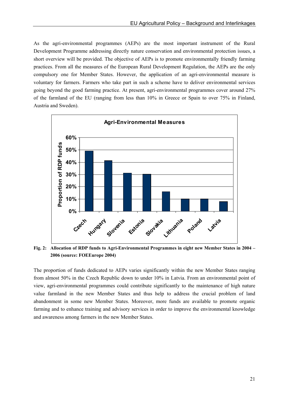As the agri-environmental programmes (AEPs) are the most important instrument of the Rural Development Programme addressing directly nature conservation and environmental protection issues, a short overview will be provided. The objective of AEPs is to promote environmentally friendly farming practices. From all the measures of the European Rural Development Regulation, the AEPs are the only compulsory one for Member States. However, the application of an agri-environmental measure is voluntary for farmers. Farmers who take part in such a scheme have to deliver environmental services going beyond the good farming practice. At present, agri-environmental programmes cover around 27% of the farmland of the EU (ranging from less than 10% in Greece or Spain to over 75% in Finland, Austria and Sweden).



**Fig. 2: Allocation of RDP funds to Agri-Environmental Programmes in eight new Member States in 2004 – 2006 (source: FOEEurope 2004)** 

The proportion of funds dedicated to AEPs varies significantly within the new Member States ranging from almost 50% in the Czech Republic down to under 10% in Latvia. From an environmental point of view, agri-environmental programmes could contribute significantly to the maintenance of high nature value farmland in the new Member States and thus help to address the crucial problem of land abandonment in some new Member States. Moreover, more funds are available to promote organic farming and to enhance training and advisory services in order to improve the environmental knowledge and awareness among farmers in the new Member States.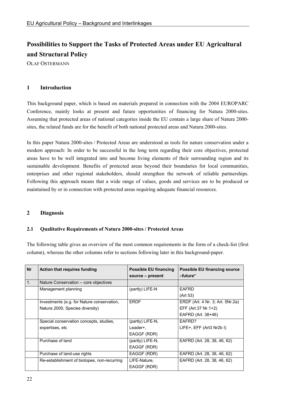# **Possibilities to Support the Tasks of Protected Areas under EU Agricultural and Structural Policy**

OLAF OSTERMANN

# **1 Introduction**

This background paper, which is based on materials prepared in connection with the 2004 EUROPARC Conference, mainly looks at present and future opportunities of financing for Natura 2000-sites. Assuming that protected areas of national categories inside the EU contain a large share of Natura 2000 sites, the related funds are for the benefit of both national protected areas and Natura 2000-sites.

In this paper Natura 2000-sites / Protected Areas are understood as tools for nature conservation under a modern approach: In order to be successful in the long term regarding their core objectives, protected areas have to be well integrated into and become living elements of their surrounding region and its sustainable development. Benefits of protected areas beyond their boundaries for local communities, enterprises and other regional stakeholders, should strengthen the network of reliable partnerships. Following this approach means that a wide range of values, goods and services are to be produced or maintained by or in connection with protected areas requiring adequate financial resources.

## **2 Diagnosis**

## **2.1 Qualitative Requirements of Natura 2000-sites / Protected Areas**

The following table gives an overview of the most common requirements in the form of a check-list (first column), whereas the other columns refer to sections following later in this background-paper.

| <b>Nr</b>      | <b>Action that requires funding</b>         | <b>Possible EU financing</b><br>source - present | <b>Possible EU financing source</b><br>-future* |
|----------------|---------------------------------------------|--------------------------------------------------|-------------------------------------------------|
| 1 <sub>1</sub> | Nature Conservation – core objectives       |                                                  |                                                 |
|                | Management planning                         | (partly) LIFE-N                                  | <b>EAFRD</b>                                    |
|                |                                             |                                                  | (Art 53)                                        |
|                | Investments (e.g. for Nature conservation,  | <b>ERDF</b>                                      | ERDF (Art. 4 Nr. 3; Art. 5Nr.2a)                |
|                | Natura 2000, Species diversity)             |                                                  | EFF (Art.37 Nr.1+2)                             |
|                |                                             |                                                  | EAFRD (Art. 38+46)                              |
|                | Special conservation concepts, studies,     | (partly) LIFE-N,                                 | EAFRD?                                          |
|                | expertises, etc                             | Leader+,                                         | LIFE+, EFF (Art3 Nr2b I)                        |
|                |                                             | EAGGF (RDR)                                      |                                                 |
|                | Purchase of land                            | (partly) LIFE-N,                                 | EAFRD (Art. 28, 38, 46, 62)                     |
|                |                                             | EAGGF (RDR)                                      |                                                 |
|                | Purchase of land-use rights                 | EAGGF (RDR)                                      | EAFRD (Art. 28, 38, 46, 62)                     |
|                | Re-establishment of biotopes, non-recurring | LIFE-Nature,<br>EAGGF (RDR)                      | EAFRD (Art. 28, 38, 46, 62)                     |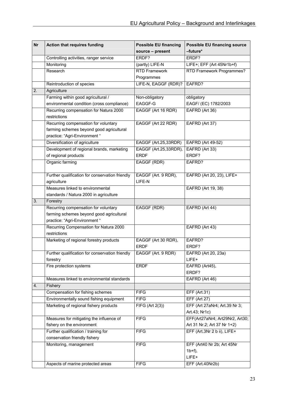| <b>Nr</b> | <b>Action that requires funding</b>             | <b>Possible EU financing</b> | <b>Possible EU financing source</b> |
|-----------|-------------------------------------------------|------------------------------|-------------------------------------|
|           |                                                 | source - present             | -future*                            |
|           | Controlling activities, ranger service          | ERDF?                        | ERDF?                               |
|           | Monitoring                                      | (partly) LIFE-N              | LIFE+; EFF (Art 45Nr1b+f)           |
|           | Research                                        | <b>RTD Framework</b>         | RTD Framework Programmes?           |
|           |                                                 | Programmes                   |                                     |
|           | Reintroduction of species                       | LIFE-N, EAGGF (RDR)?         | EAFRD?                              |
| 2.        | Agriculture                                     |                              |                                     |
|           | Farming within good agricultural /              | Non-obligatory               | obligatory                          |
|           | environmental condition (cross compliance)      | EAGGF-G                      | EAGF/ (EC) 1782/2003                |
|           | Recurring compensation for Natura 2000          | EAGGF (Art 16 RDR)           | EAFRD (Art 36)                      |
|           | restrictions                                    |                              |                                     |
|           | Recurring compensation for voluntary            | EAGGF (Art 22 RDR)           | EAFRD (Art 37)                      |
|           | farming schemes beyond good agricultural        |                              |                                     |
|           | practice: "Agri-Environment "                   |                              |                                     |
|           | Diversification of agriculture                  | EAGGF (Art.25,33RDR)         | <b>EAFRD (Art 49-52)</b>            |
|           | Development of regional brands, marketing       | EAGGF (Art.25,33RDR),        | EAFRD (Art 33)                      |
|           | of regional products                            | <b>ERDF</b>                  | ERDF?                               |
|           | Organic farming                                 | EAGGF (RDR)                  | EAFRD?                              |
|           | Further qualification for conservation friendly | EAGGF (Art. 9 RDR),          | EAFRD (Art 20, 23), LIFE+           |
|           | agriculture                                     | LIFE-N                       |                                     |
|           | Measures linked to environmental                |                              | EAFRD (Art 19, 38)                  |
|           | standards / Natura 2000 in agriculture          |                              |                                     |
| 3.        | Forestry                                        |                              |                                     |
|           | Recurring compensation for voluntary            | EAGGF (RDR)                  | EAFRD (Art 44)                      |
|           | farming schemes beyond good agricultural        |                              |                                     |
|           | practice: "Agri-Environment "                   |                              |                                     |
|           | Recurring Compensation for Natura 2000          |                              | EAFRD (Art 43)                      |
|           | restrictions                                    |                              |                                     |
|           | Marketing of regional forestry products         | EAGGF (Art 30 RDR),          | EAFRD?                              |
|           |                                                 | <b>ERDF</b>                  | ERDF?                               |
|           | Further qualification for conservation friendly | EAGGF (Art. 9 RDR)           | EAFRD (Art 20, 23a)                 |
|           | forestry                                        |                              | LIFE+                               |
|           | Fire protection systems                         | <b>ERDF</b>                  | EAFRD (Art45),                      |
|           |                                                 |                              | ERDF?                               |
|           | Measures linked to environmental standards      |                              | EAFRD (Art 46)                      |
| 4.        | Fishery                                         |                              |                                     |
|           | Compensation for fishing schemes                | <b>FIFG</b>                  | EFF (Art.31)                        |
|           | Environmentally sound fishing equipment         | <b>FIFG</b>                  | <b>EFF (Art 27)</b>                 |
|           | Marketing of regional fishery products          | FIFG (Art 2(3))              | EFF (Art 27aNr4; Art.39 Nr 3;       |
|           |                                                 |                              | Art.43; Nr1c)                       |
|           | Measures for mitigating the influence of        | <b>FIFG</b>                  | EFF(Art27aNr4; Art29Nr2, Art30;     |
|           | fishery on the environment                      |                              | Art 31 Nr.2; Art 37 Nr 1+2)         |
|           | Further qualification / training for            | <b>FIFG</b>                  | EFF (Art.3Nr 2 b ii), LIFE+         |
|           | conservation friendly fishery                   |                              |                                     |
|           | Monitoring, management                          | <b>FIFG</b>                  | EFF (Art40 Nr 2b; Art 45Nr          |
|           |                                                 |                              | $1b+f$ ,                            |
|           |                                                 |                              | LIFE+                               |
|           | Aspects of marine protected areas               | <b>FIFG</b>                  | EFF (Art.40Nr2b)                    |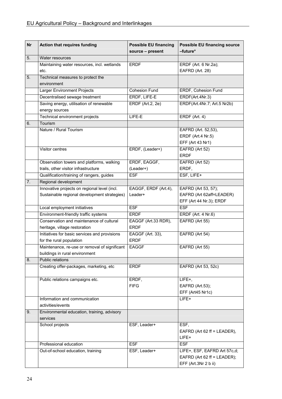| <b>Nr</b> | <b>Action that requires funding</b>           | <b>Possible EU financing</b><br>source - present | <b>Possible EU financing source</b><br>-future* |
|-----------|-----------------------------------------------|--------------------------------------------------|-------------------------------------------------|
| 5.        | Water resources                               |                                                  |                                                 |
|           | Maintaining water resources, incl. wetlands   | <b>ERDF</b>                                      | ERDF (Art. 6 Nr.2a);                            |
|           | etc.                                          |                                                  | EAFRD (Art. 28)                                 |
| 5.        | Technical measures to protect the             |                                                  |                                                 |
|           | environment                                   |                                                  |                                                 |
|           | Larger Environment Projects                   | <b>Cohesion Fund</b>                             | ERDF, Cohesion Fund                             |
|           | Decentralised sewage treatment                | ERDF, LIFE-E                                     | ERDF(Art.4Nr.3)                                 |
|           | Saving energy, utilisation of renewable       | <b>ERDF</b> (Art.2, 2e)                          | ERDF(Art.4Nr.7; Art.5 Nr2b)                     |
|           | energy sources                                |                                                  |                                                 |
|           | Technical environment projects                | LIFE-E                                           | ERDF (Art. 4)                                   |
| 6.        | Tourism                                       |                                                  |                                                 |
|           | Nature / Rural Tourism                        |                                                  | EAFRD (Art. 52,53),                             |
|           |                                               |                                                  | ERDF (Art.4 Nr.5)                               |
|           |                                               |                                                  | EFF (Art 43 Nr1)                                |
|           | Visitor centres                               | ERDF, (Leader+)                                  | EAFRD (Art 52)                                  |
|           |                                               |                                                  | <b>ERDF</b>                                     |
|           | Observation towers and platforms, walking     | ERDF, EAGGF,                                     | EAFRD (Art 52)                                  |
|           | trails, other visitor infrastructure          | (Leader+)                                        | ERDF,                                           |
|           | Qualification/training of rangers, guides     | <b>ESF</b>                                       | ESF, LIFE+                                      |
| 7.        | Regional development                          |                                                  |                                                 |
|           | Innovative projects on regional level (incl.  | EAGGF, ERDF (Art.4),                             | EAFRD (Art 53, 57);                             |
|           | Sustainable regional development strategies)  | Leader+                                          | EAFRD (Art 62aff=LEADER)                        |
|           |                                               |                                                  | EFF (Art 44 Nr.3); ERDF                         |
|           | Local employment initiatives                  | <b>ESF</b>                                       | <b>ESF</b>                                      |
|           | Environment-friendly traffic systems          | <b>ERDF</b>                                      | ERDF (Art. 4 Nr.6)                              |
|           | Conservation and maintenance of cultural      | EAGGF (Art.33 RDR),                              | EAFRD (Art 55)                                  |
|           | heritage, village restoration                 | <b>ERDF</b>                                      |                                                 |
|           | Initiatives for basic services and provisions | EAGGF (Art. 33),                                 | EAFRD (Art 54)                                  |
|           | for the rural population                      | <b>ERDF</b>                                      |                                                 |
|           | Maintenance, re-use or removal of significant | <b>EAGGF</b>                                     | EAFRD (Art 55)                                  |
|           | buildings in rural environment                |                                                  |                                                 |
| 8.        | Public relations                              |                                                  |                                                 |
|           | Creating offer-packages, marketing, etc       | <b>ERDF</b>                                      | EAFRD (Art 53, 52c)                             |
|           | Public relations campaigns etc.               | ERDF,                                            | LIFE+,                                          |
|           |                                               | <b>FIFG</b>                                      | EAFRD (Art.53);                                 |
|           |                                               |                                                  | EFF (Art45 Nr1c)                                |
|           | Information and communication                 |                                                  | LIFE+                                           |
|           | activities/events                             |                                                  |                                                 |
| 9.        | Environmental education, training, advisory   |                                                  |                                                 |
|           | services                                      |                                                  |                                                 |
|           | School projects                               | ESF, Leader+                                     | ESF,                                            |
|           |                                               |                                                  | EAFRD (Art 62 ff = LEADER),                     |
|           |                                               |                                                  | LIFE+                                           |
|           | Professional education                        | <b>ESF</b>                                       | <b>ESF</b>                                      |
|           | Out-of-school education, training             | ESF, Leader+                                     | LIFE+, ESF, EAFRD Art 57c,d;                    |
|           |                                               |                                                  | EAFRD (Art 62 ff = LEADER);                     |
|           |                                               |                                                  | EFF (Art.3Nr 2 b ii)                            |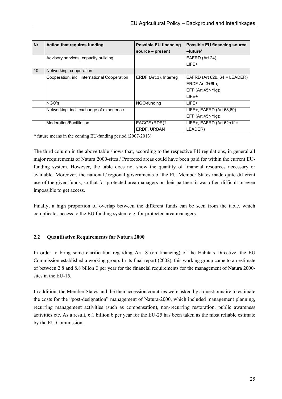| <b>Nr</b> | <b>Action that requires funding</b>          | <b>Possible EU financing</b><br>source – present | <b>Possible EU financing source</b><br>-future* |
|-----------|----------------------------------------------|--------------------------------------------------|-------------------------------------------------|
|           | Advisory services, capacity building         |                                                  | EAFRD (Art 24).<br>I IFF+                       |
| 10.       | Networking, cooperation                      |                                                  |                                                 |
|           |                                              |                                                  |                                                 |
|           | Cooperation, incl. international Cooperation | ERDF (Art.3), Interreg                           | EAFRD (Art 62b, $64$ = LEADER)                  |
|           |                                              |                                                  | ERDF Art $3+6b$ ).                              |
|           |                                              |                                                  | EFF $(Art.45Nr1g)$ ;                            |
|           |                                              |                                                  | LIFF+                                           |
|           | NGO's                                        | NGO-funding                                      | I IFF+                                          |
|           | Networking, incl. exchange of experience     |                                                  | LIFE+, EAFRD (Art 68,69)                        |
|           |                                              |                                                  | EFF $(Art.45Nr1q)$ ;                            |
|           | Moderation/Facilitation                      | EAGGF (RDR)?                                     | LIFE+, EAFRD (Art 62c ff =                      |
|           |                                              | ERDF, URBAN                                      | LEADER)                                         |

\* future means in the coming EU-funding period (2007-2013)

The third column in the above table shows that, according to the respective EU regulations, in general all major requirements of Natura 2000-sites / Protected areas could have been paid for within the current EUfunding system. However, the table does not show the quantity of financial resources necessary or available. Moreover, the national / regional governments of the EU Member States made quite different use of the given funds, so that for protected area managers or their partners it was often difficult or even impossible to get access.

Finally, a high proportion of overlap between the different funds can be seen from the table, which complicates access to the EU funding system e.g. for protected area managers.

#### **2.2 Quantitative Requirements for Natura 2000**

In order to bring some clarification regarding Art. 8 (on financing) of the Habitats Directive, the EU Commission established a working group. In its final report (2002), this working group came to an estimate of between 2.8 and 8.8 billon  $\epsilon$  per year for the financial requirements for the management of Natura 2000sites in the EU-15.

In addition, the Member States and the then accession countries were asked by a questionnaire to estimate the costs for the "post-designation" management of Natura-2000, which included management planning, recurring management activities (such as compensation), non-recurring restoration, public awareness activities etc. As a result, 6.1 billion  $\epsilon$  per year for the EU-25 has been taken as the most reliable estimate by the EU Commission.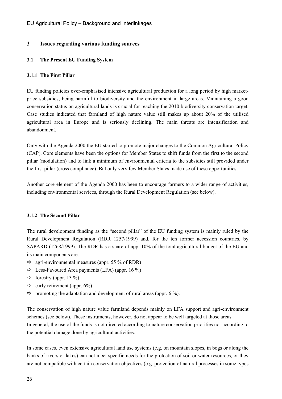# **3 Issues regarding various funding sources**

### **3.1 The Present EU Funding System**

#### **3.1.1 The First Pillar**

EU funding policies over-emphasised intensive agricultural production for a long period by high marketprice subsidies, being harmful to biodiversity and the environment in large areas. Maintaining a good conservation status on agricultural lands is crucial for reaching the 2010 biodiversity conservation target. Case studies indicated that farmland of high nature value still makes up about 20% of the utilised agricultural area in Europe and is seriously declining. The main threats are intensification and abandonment.

Only with the Agenda 2000 the EU started to promote major changes to the Common Agricultural Policy (CAP). Core elements have been the options for Member States to shift funds from the first to the second pillar (modulation) and to link a minimum of environmental criteria to the subsidies still provided under the first pillar (cross compliance). But only very few Member States made use of these opportunities.

Another core element of the Agenda 2000 has been to encourage farmers to a wider range of activities, including environmental services, through the Rural Development Regulation (see below).

#### **3.1.2 The Second Pillar**

The rural development funding as the "second pillar" of the EU funding system is mainly ruled by the Rural Development Regulation (RDR 1257/1999) and, for the ten former accession countries, by SAPARD (1268/1999). The RDR has a share of app. 10% of the total agricultural budget of the EU and its main components are:

- $\Rightarrow$  agri-environmental measures (appr. 55 % of RDR)
- $\Rightarrow$  Less-Favoured Area payments (LFA) (appr. 16 %)
- $\Rightarrow$  forestry (appr. 13 %)
- $\Rightarrow$  early retirement (appr. 6%)
- $\Rightarrow$  promoting the adaptation and development of rural areas (appr. 6 %).

The conservation of high nature value farmland depends mainly on LFA support and agri-environment schemes (see below). These instruments, however, do not appear to be well targeted at those areas. In general, the use of the funds is not directed according to nature conservation priorities nor according to the potential damage done by agricultural activities.

In some cases, even extensive agricultural land use systems (e.g. on mountain slopes, in bogs or along the banks of rivers or lakes) can not meet specific needs for the protection of soil or water resources, or they are not compatible with certain conservation objectives (e.g. protection of natural processes in some types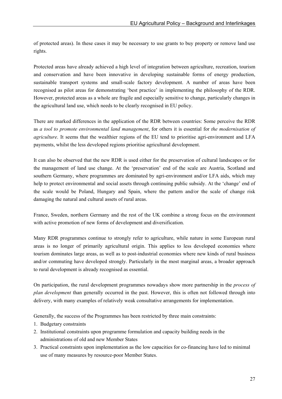of protected areas). In these cases it may be necessary to use grants to buy property or remove land use rights.

Protected areas have already achieved a high level of integration between agriculture, recreation, tourism and conservation and have been innovative in developing sustainable forms of energy production, sustainable transport systems and small-scale factory development. A number of areas have been recognised as pilot areas for demonstrating 'best practice' in implementing the philosophy of the RDR. However, protected areas as a whole are fragile and especially sensitive to change, particularly changes in the agricultural land use, which needs to be clearly recognised in EU policy.

There are marked differences in the application of the RDR between countries: Some perceive the RDR as *a tool to promote environmental land management*, for others it is essential for *the modernisation of agriculture*. It seems that the wealthier regions of the EU tend to prioritise agri-environment and LFA payments, whilst the less developed regions prioritise agricultural development.

It can also be observed that the new RDR is used either for the preservation of cultural landscapes or for the management of land use change. At the 'preservation' end of the scale are Austria, Scotland and southern Germany, where programmes are dominated by agri-environment and/or LFA aids, which may help to protect environmental and social assets through continuing public subsidy. At the 'change' end of the scale would be Poland, Hungary and Spain, where the pattern and/or the scale of change risk damaging the natural and cultural assets of rural areas.

France, Sweden, northern Germany and the rest of the UK combine a strong focus on the environment with active promotion of new forms of development and diversification.

Many RDR programmes continue to strongly refer to agriculture, while nature in some European rural areas is no longer of primarily agricultural origin. This applies to less developed economies where tourism dominates large areas, as well as to post-industrial economies where new kinds of rural business and/or commuting have developed strongly. Particularly in the most marginal areas, a broader approach to rural development is already recognised as essential.

On participation, the rural development programmes nowadays show more partnership in the *process of plan development* than generally occurred in the past. However, this is often not followed through into delivery, with many examples of relatively weak consultative arrangements for implementation.

Generally, the success of the Programmes has been restricted by three main constraints:

- 1. Budgetary constraints
- 2. Institutional constraints upon programme formulation and capacity building needs in the administrations of old and new Member States
- 3. Practical constraints upon implementation as the low capacities for co-financing have led to minimal use of many measures by resource-poor Member States.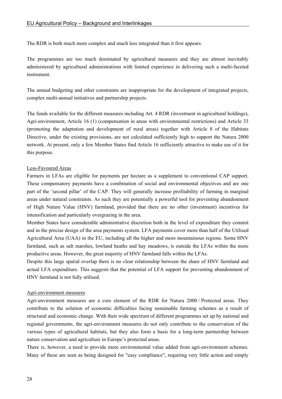The RDR is both much more complex and much less integrated than it first appears.

The programmes are too much dominated by agricultural measures and they are almost inevitably administered by agricultural administrations with limited experience in delivering such a multi-faceted instrument.

The annual budgeting and other constraints are inappropriate for the development of integrated projects, complex multi-annual initiatives and partnership projects.

The funds available for the different measures including Art. 4 RDR (investment in agricultural holdings), Agri-environment, Article 16 (1) (compensation in areas with environmental restrictions) and Article 33 (promoting the adaptation and development of rural areas) together with Article 8 of the Habitats Directive, under the existing provisions, are not calculated sufficiently high to support the Natura 2000 network. At present, only a few Member States find Article 16 sufficiently attractive to make use of it for this purpose.

#### Less-Favoured Areas

Farmers in LFAs are eligible for payments per hectare as a supplement to conventional CAP support. These compensatory payments have a combination of social and environmental objectives and are one part of the 'second pillar' of the CAP. They will generally increase profitability of farming in marginal areas under natural constraints. As such they are potentially a powerful tool for preventing abandonment of High Nature Value (HNV) farmland, provided that there are no other (investment) incentives for intensification and particularly overgrazing in the area.

Member States have considerable administrative discretion both in the level of expenditure they commit and in the precise design of the area payments system. LFA payments cover more than half of the Utilised Agricultural Area (UAA) in the EU, including all the higher and more mountainous regions. Some HNV farmland, such as salt marshes, lowland heaths and hay meadows, is outside the LFAs within the more productive areas. However, the great majority of HNV farmland falls within the LFAs.

Despite this large spatial overlap there is no clear relationship between the share of HNV farmland and actual LFA expenditure. This suggests that the potential of LFA support for preventing abandonment of HNV farmland is not fully utilised.

#### Agri-environment measures

Agri-environment measures are a core element of the RDR for Natura 2000 / Protected areas. They contribute to the solution of economic difficulties facing sustainable farming schemes as a result of structural and economic change. With their wide spectrum of different programmes set up by national and regional governments, the agri-environment measures do not only contribute to the conservation of the various types of agricultural habitats, but they also form a basis for a long-term partnership between nature conservation and agriculture in Europe's protected areas.

There is, however, a need to provide more environmental value added from agri-environment schemes. Many of these are seen as being designed for "easy compliance", requiring very little action and simply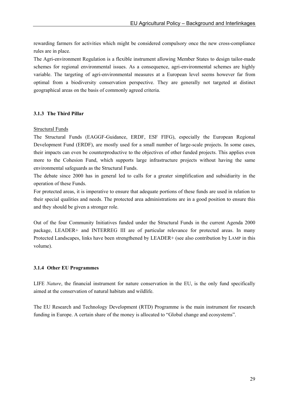rewarding farmers for activities which might be considered compulsory once the new cross-compliance rules are in place.

The Agri-environment Regulation is a flexible instrument allowing Member States to design tailor-made schemes for regional environmental issues. As a consequence, agri-environmental schemes are highly variable. The targeting of agri-environmental measures at a European level seems however far from optimal from a biodiversity conservation perspective. They are generally not targeted at distinct geographical areas on the basis of commonly agreed criteria.

#### **3.1.3 The Third Pillar**

#### Structural Funds

The Structural Funds (EAGGF-Guidance, ERDF, ESF FIFG), especially the European Regional Development Fund (ERDF), are mostly used for a small number of large-scale projects. In some cases, their impacts can even be counterproductive to the objectives of other funded projects. This applies even more to the Cohesion Fund, which supports large infrastructure projects without having the same environmental safeguards as the Structural Funds.

The debate since 2000 has in general led to calls for a greater simplification and subsidiarity in the operation of these Funds.

For protected areas, it is imperative to ensure that adequate portions of these funds are used in relation to their special qualities and needs. The protected area administrations are in a good position to ensure this and they should be given a stronger role.

Out of the four Community Initiatives funded under the Structural Funds in the current Agenda 2000 package, LEADER+ and INTERREG III are of particular relevance for protected areas. In many Protected Landscapes, links have been strengthened by LEADER+ (see also contribution by LAMP in this volume).

#### **3.1.4 Other EU Programmes**

LIFE *Nature*, the financial instrument for nature conservation in the EU, is the only fund specifically aimed at the conservation of natural habitats and wildlife.

The EU Research and Technology Development (RTD) Programme is the main instrument for research funding in Europe. A certain share of the money is allocated to "Global change and ecosystems".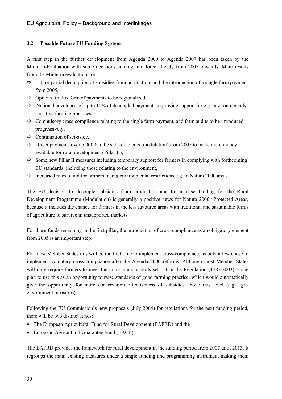### **3.2 Possible Future EU Funding System**

A first step in the further development from Agenda 2000 to Agenda 2007 has been taken by the Midterm-Evaluation with some decisions coming into force already from 2005 onwards. Main results from the Midterm evaluation are:

- $\Rightarrow$  Full or partial decoupling of subsidies from production, and the introduction of a single farm payment from 2005,
- $\Rightarrow$  Options for this form of payments to be regionalized,
- $\Rightarrow$  'National envelopes' of up to 10% of decoupled payments to provide support for e.g. environmentallysensitive farming practices,
- $\Rightarrow$  Compulsory cross-compliance relating to the single farm payment, and farm audits to be introduced progressively;
- $\Rightarrow$  Continuation of set-aside,
- $\Rightarrow$  Direct payments over 5,000 € to be subject to cuts (modulation) from 2005 to make more money available for rural development (Pillar II),
- $\Rightarrow$  Some new Pillar II measures including temporary support for farmers in complying with forthcoming EU standards, including those relating to the environment,
- $\Rightarrow$  increased rates of aid for farmers facing environmental restrictions e.g. in Natura 2000 areas.

The EU decision to decouple subsidies from production and to increase funding for the Rural Development Programme (Modulation) is generally a positive news for Natura 2000 / Protected Areas, because it includes the chance for farmers in the less favoured areas with traditional and sustainable forms of agriculture to survive in unsupported markets.

For those funds remaining in the first pillar, the introduction of cross-compliance as an obligatory element from 2005 is an important step.

For most Member States this will be the first time to implement cross-compliance, as only a few chose to implement voluntary cross-compliance after the Agenda 2000 reforms. Although most Member States will only require farmers to meet the minimum standards set out in the Regulation (1782/2003), some plan to use this as an opportunity to raise standards of good farming practice, which would automatically give the opportunity for more conservation effectiveness of subsidies above this level (e.g. agrienvironment measures).

Following the EU Commission's new proposals (July 2004) for regulations for the next funding period, there will be two distinct funds:

- The European Agricultural Fund for Rural Development (EAFRD) and the
- European Agricultural Guarantee Fund (EAGF).

The EAFRD provides the framework for rural development in the funding period from 2007 until 2013. It regroups the main existing measures under a single funding and programming instrument making them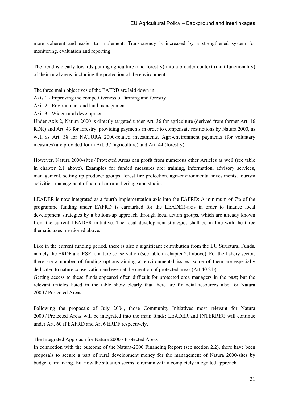more coherent and easier to implement. Transparency is increased by a strengthened system for monitoring, evaluation and reporting.

The trend is clearly towards putting agriculture (and forestry) into a broader context (multifunctionality) of their rural areas, including the protection of the environment.

The three main objectives of the EAFRD are laid down in:

Axis 1 - Improving the competitiveness of farming and forestry

Axis 2 - Environment and land management

Axis 3 - Wider rural development.

Under Axis 2, Natura 2000 is directly targeted under Art. 36 for agriculture (derived from former Art. 16 RDR) and Art. 43 for forestry, providing payments in order to compensate restrictions by Natura 2000, as well as Art. 38 for NATURA 2000-related investments. Agri-environment payments (for voluntary measures) are provided for in Art. 37 (agriculture) and Art. 44 (forestry).

However, Natura 2000-sites / Protected Areas can profit from numerous other Articles as well (see table in chapter 2.1 above). Examples for funded measures are: training, information, advisory services, management, setting up producer groups, forest fire protection, agri-environmental investments, tourism activities, management of natural or rural heritage and studies.

LEADER is now integrated as a fourth implementation axis into the EAFRD: A minimum of 7% of the programme funding under EAFRD is earmarked for the LEADER-axis in order to finance local development strategies by a bottom-up approach through local action groups, which are already known from the current LEADER initiative. The local development strategies shall be in line with the three thematic axes mentioned above.

Like in the current funding period, there is also a significant contribution from the EU Structural Funds, namely the ERDF and ESF to nature conservation (see table in chapter 2.1 above). For the fishery sector, there are a number of funding options aiming at environmental issues, some of them are especially dedicated to nature conservation and even at the creation of protected areas (Art 40 2 b).

Getting access to these funds appeared often difficult for protected area managers in the past; but the relevant articles listed in the table show clearly that there are financial resources also for Natura 2000 / Protected Areas.

Following the proposals of July 2004, those Community Initiatives most relevant for Natura 2000 / Protected Areas will be integrated into the main funds: LEADER and INTERREG will continue under Art. 60 ff EAFRD and Art 6 ERDF respectively.

## The Integrated Approach for Natura 2000 / Protected Areas

In connection with the outcome of the Natura-2000 Financing Report (see section 2.2), there have been proposals to secure a part of rural development money for the management of Natura 2000-sites by budget earmarking. But now the situation seems to remain with a completely integrated approach.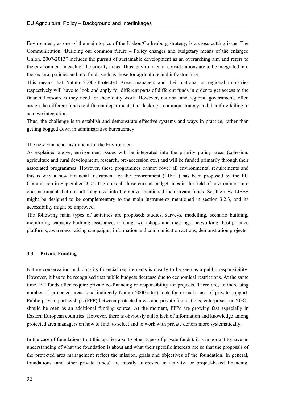Environment, as one of the main topics of the Lisbon/Gothenburg strategy, is a cross-cutting issue. The Communication "Building our common future – Policy changes and budgetary means of the enlarged Union, 2007-2013" includes the pursuit of sustainable development as an overarching aim and refers to the environment in each of the priority areas. Thus, environmental considerations are to be integrated into the sectoral policies and into funds such as those for agriculture and infrastructure.

This means that Natura 2000 / Protected Areas managers and their national or regional ministries respectively will have to look and apply for different parts of different funds in order to get access to the financial resources they need for their daily work. However, national and regional governments often assign the different funds to different departments thus lacking a common strategy and therefore failing to achieve integration.

Thus, the challenge is to establish and demonstrate effective systems and ways in practice, rather than getting bogged down in administrative bureaucracy.

#### The new Financial Instrument for the Environment

As explained above, environment issues will be integrated into the priority policy areas (cohesion, agriculture and rural development, research, pre-accession etc.) and will be funded primarily through their associated programmes. However, these programmes cannot cover all environmental requirements and this is why a new Financial Instrument for the Environment (LIFE+) has been proposed by the EU Commission in September 2004. It groups all those current budget lines in the field of environment into one instrument that are not integrated into the above-mentioned mainstream funds. So, the new LIFE+ might be designed to be complementary to the main instruments mentioned in section 3.2.3, and its accessibility might be improved.

The following main types of activities are proposed: studies, surveys, modelling, scenario building, monitoring, capacity-building assistance, training, workshops and meetings, networking, best-practice platforms, awareness-raising campaigns, information and communication actions, demonstration projects.

#### **3.3 Private Funding**

Nature conservation including its financial requirements is clearly to be seen as a public responsibility. However, it has to be recognised that public budgets decrease due to economical restrictions. At the same time, EU funds often require private co-financing or responsibility for projects. Therefore, an increasing number of protected areas (and indirectly Natura 2000-sites) look for or make use of private support. Public-private-partnerships (PPP) between protected areas and private foundations, enterprises, or NGOs should be seen as an additional funding source. At the moment, PPPs are growing fast especially in Eastern European countries. However, there is obviously still a lack of information and knowledge among protected area managers on how to find, to select and to work with private donors more systematically.

In the case of foundations (but this applies also to other types of private funds), it is important to have an understanding of what the foundation is about and what their specific interests are so that the proposals of the protected area management reflect the mission, goals and objectives of the foundation. In general, foundations (and other private funds) are mostly interested in activity- or project-based financing.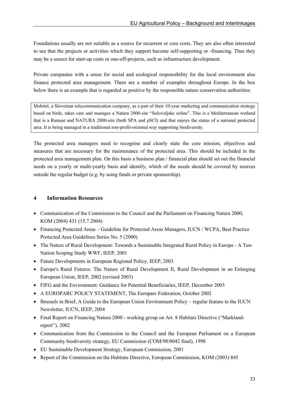Foundations usually are not suitable as a source for recurrent or core costs. They are also often interested to see that the projects or activities which they support become self-supporting or -financing. Thus they may be a source for start-up costs or one-off-projects, such as infrastructure development.

Private companies with a sense for social and ecological responsibility for the local environment also finance protected area management. There are a number of examples throughout Europe. In the box below there is an example that is regarded as positive by the responsible nature conservation authorities:

Mobitel, a Slovenian telecommunication company, as a part of their 10-year marketing and communication strategy based on birds, takes care and manages a Natura 2000-site "Sečoveljske soline". This is a Mediterranean wetland that is a Ramsar and NATURA 2000-site (both SPA and pSCI) and that enjoys the status of a national protected area. It is being managed in a traditional non-profit-oriented way supporting biodiversity.

The protected area managers need to recognise and clearly state the core mission, objectives and measures that are necessary for the maintenance of the protected area. This should be included in the protected area management plan. On this basis a business plan / financial plan should set out the financial needs on a yearly or multi-yearly basis and identify, which of the needs should be covered by sources outside the regular budget (e.g. by using funds or private sponsorship).

## **4 Information Resources**

- Communication of the Commission to the Council and the Parliament on Financing Natura 2000, KOM (2004) 431 (15.7.2004)
- Financing Protected Areas Guideline for Protected Areas Managers, IUCN / WCPA, Best Practice Protected Area Guidelines Series No. 5 (2000)
- The Nature of Rural Development: Towards a Sustainable Integrated Rural Policy in Europe A Ten-Nation Scoping Study WWF, IEEP, 2001
- Future Developments in European Regional Policy, IEEP, 2003
- Europe's Rural Futures: The Nature of Rural Development II, Rural Development in an Enlarging European Union, IEEP, 2002 (revised 2003)
- FIFG and the Environment: Guidance for Potential Beneficiaries, IEEP, December 2003
- A EUROPARC POLICY STATEMENT, The Europarc Federation, October 2002
- Brussels in Brief, A Guide to the European Union Environment Policy regular feature to the IUCN Newsletter, IUCN, IEEP, 2004
- Final Report on Financing Natura 2000 working group on Art. 8 Habitats Directive ("Marklandreport"), 2002
- Communication from the Commission to the Council and the European Parliament on a European Community biodiversity strategy, EU Commission (COM/98/0042 final), 1998
- EU Sustainable Development Strategy, European Commission, 2001
- Report of the Commission on the Habitats Directive, European Commission, KOM (2003) 845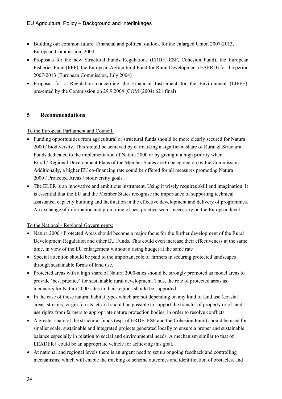- Building our common future: Financial and political outlook for the enlarged Union 2007-2013, European Commission, 2004
- Proposals for the new Structural Funds Regulations (ERDF, ESF, Cohesion Fund), the European Fisheries Fund (EFF), the European Agricultural Fund for Rural Development (EAFRD) for the period 2007-2013 (European Commission, July 2004)
- Proposal for a Regulation concerning the Financial Instrument for the Environment (LIFE+), presented by the Commission on 29.9.2004 (COM (2004) 621 final)

# **5 Recommendations**

To the European Parliament and Council:

- Funding opportunities from agricultural or structural funds should be more clearly secured for Natura 2000 / biodiversity. This should be achieved by earmarking a significant share of Rural & Structural Funds dedicated to the implementation of Natura 2000 or by giving it a high priority when Rural / Regional Development Plans of the Member States are to be agreed on by the Commission. Additionally, a higher EU co-financing rate could be offered for all measures promoting Natura 2000 / Protected Areas / biodiversity goals.
- The ELER is an innovative and ambitious instrument. Using it wisely requires skill and imagination. It is essential that the EU and the Member States recognise the importance of supporting technical assistance, capacity building and facilitation in the effective development and delivery of programmes. An exchange of information and promoting of best practice seems necessary on the European level.

## To the National / Regional Governments:

- Natura 2000 / Protected Areas should become a major focus for the further development of the Rural Development Regulation and other EU Funds. This could even increase their effectiveness at the same time, in view of the EU enlargement without a rising budget at the same rate
- Special attention should be paid to the important role of farmers in securing protected landscapes through sustainable forms of land use.
- Protected areas with a high share of Natura 2000-sites should be strongly promoted as model areas to provide 'best practice' for sustainable rural development. Thus, the role of protected areas as mediators for Natura 2000-sites in their regions should be supported.
- In the case of those natural habitat types which are not depending on any kind of land use (coastal areas, streams, virgin forests, etc.) it should be possible to support the transfer of property or of land use rights from farmers to appropriate nature protection bodies, in order to resolve conflicts.
- A greater share of the structural funds (esp. of ERDF, ESF and the Cohesion Fund) should be used for smaller scale, sustainable and integrated projects generated locally to ensure a proper and sustainable balance especially in relation to social and environmental needs. A mechanism similar to that of LEADER+ could be an appropriate vehicle for achieving this goal.
- At national and regional levels there is an urgent need to set up ongoing feedback and controlling mechanisms, which will enable the tracking of scheme outcomes and identification of obstacles, and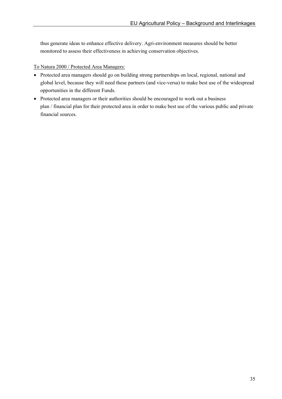thus generate ideas to enhance effective delivery. Agri-environment measures should be better monitored to assess their effectiveness in achieving conservation objectives.

### To Natura 2000 / Protected Area Managers:

- Protected area managers should go on building strong partnerships on local, regional, national and global level, because they will need these partners (and vice-versa) to make best use of the widespread opportunities in the different Funds.
- Protected area managers or their authorities should be encouraged to work out a business plan / financial plan for their protected area in order to make best use of the various public and private financial sources.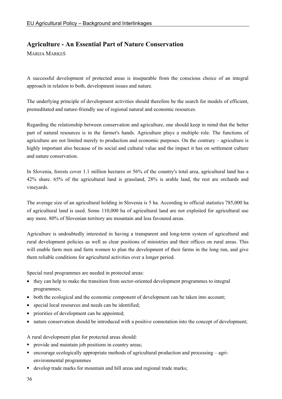## **Agriculture - An Essential Part of Nature Conservation**

MARIJA MARKEŠ

A successful development of protected areas is inseparable from the conscious choice of an integral approach in relation to both, development issues and nature.

The underlying principle of development activities should therefore be the search for models of efficient, premeditated and nature-friendly use of regional natural and economic resources.

Regarding the relationship between conservation and agriculture, one should keep in mind that the better part of natural resources is in the farmer's hands. Agriculture plays a multiple role. The functions of agriculture are not limited merely to production and economic purposes. On the contrary – agriculture is highly important also because of its social and cultural value and the impact it has on settlement culture and nature conservation.

In Slovenia, forests cover 1.1 million hectares or 56% of the country's total area, agricultural land has a 42% share. 65% of the agricultural land is grassland, 28% is arable land, the rest are orchards and vineyards.

The average size of an agricultural holding in Slovenia is 5 ha. According to official statistics 785,000 ha of agricultural land is used. Some 110,000 ha of agricultural land are not exploited for agricultural use any more. 80% of Slovenian territory are mountain and less favoured areas.

Agriculture is undoubtedly interested in having a transparent and long-term system of agricultural and rural development policies as well as clear positions of ministries and their offices on rural areas. This will enable farm men and farm women to plan the development of their farms in the long run, and give them reliable conditions for agricultural activities over a longer period.

Special rural programmes are needed in protected areas:

- they can help to make the transition from sector-oriented development programmes to integral programmes;
- both the ecological and the economic component of development can be taken into account;
- special local resources and needs can be identified;
- priorities of development can be appointed;
- nature conservation should be introduced with a positive connotation into the concept of development;

A rural development plan for protected areas should:

- **provide and maintain job positions in country areas;**
- $\blacksquare$  encourage ecologically appropriate methods of agricultural production and processing agrienvironmental programmes
- develop trade marks for mountain and hill areas and regional trade marks;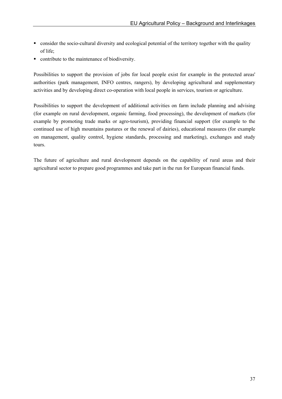- consider the socio-cultural diversity and ecological potential of the territory together with the quality of life;
- contribute to the maintenance of biodiversity.

Possibilities to support the provision of jobs for local people exist for example in the protected areas' authorities (park management, INFO centres, rangers), by developing agricultural and supplementary activities and by developing direct co-operation with local people in services, tourism or agriculture.

Possibilities to support the development of additional activities on farm include planning and advising (for example on rural development, organic farming, food processing), the development of markets (for example by promoting trade marks or agro-tourism), providing financial support (for example to the continued use of high mountains pastures or the renewal of dairies), educational measures (for example on management, quality control, hygiene standards, processing and marketing), exchanges and study tours.

The future of agriculture and rural development depends on the capability of rural areas and their agricultural sector to prepare good programmes and take part in the run for European financial funds.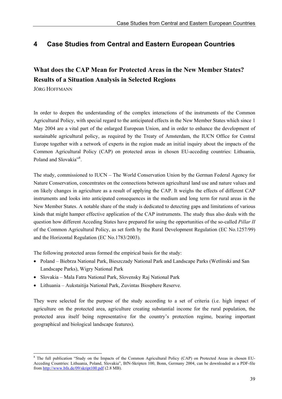## **4 Case Studies from Central and Eastern European Countries**

# **What does the CAP Mean for Protected Areas in the New Member States? Results of a Situation Analysis in Selected Regions**

JÖRG HOFFMANN

 $\overline{a}$ 

In order to deepen the understanding of the complex interactions of the instruments of the Common Agricultural Policy, with special regard to the anticipated effects in the New Member States which since 1 May 2004 are a vital part of the enlarged European Union, and in order to enhance the development of sustainable agricultural policy, as required by the Treaty of Amsterdam, the IUCN Office for Central Europe together with a network of experts in the region made an initial inquiry about the impacts of the Common Agricultural Policy (CAP) on protected areas in chosen EU-acceding countries: Lithuania, Poland and Slovakia"<sup>8</sup>.

The study, commissioned to IUCN – The World Conservation Union by the German Federal Agency for Nature Conservation, concentrates on the connections between agricultural land use and nature values and on likely changes in agriculture as a result of applying the CAP. It weighs the effects of different CAP instruments and looks into anticipated consequences in the medium and long term for rural areas in the New Member States. A notable share of the study is dedicated to detecting gaps and limitations of various kinds that might hamper effective application of the CAP instruments. The study thus also deals with the question how different Acceding States have prepared for using the opportunities of the so-called *Pillar II*  of the Common Agricultural Policy, as set forth by the Rural Development Regulation (EC No.1257/99) and the Horizontal Regulation (EC No.1783/2003).

The following protected areas formed the empirical basis for the study:

- Poland Biebrza National Park, Bieszczady National Park and Landscape Parks (Wetlinski and San Landscape Parks), Wigry National Park
- Slovakia Mala Fatra National Park, Slovensky Raj National Park
- Lithuania Aukstaitija National Park, Zuvintas Biosphere Reserve.

They were selected for the purpose of the study according to a set of criteria (i.e. high impact of agriculture on the protected area, agriculture creating substantial income for the rural population, the protected area itself being representative for the country's protection regime, bearing important geographical and biological landscape features).

<sup>&</sup>lt;sup>8</sup> The full publication "Study on the Impacts of the Common Agricultural Policy (CAP) on Protected Areas in chosen EU-Acceding Countries: Lithuania, Poland, Slovakia", BfN-Skripten 100, Bonn, Germany 2004, can be downloaded as a PDF-file from http://www.bfn.de/09/skript100.pdf (2.8 MB).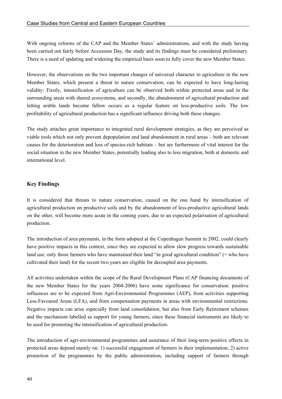With ongoing reforms of the CAP and the Member States' administrations, and with the study having been carried out fairly before Accession Day, the study and its findings must be considered preliminary. There is a need of updating and widening the empirical basis soon to fully cover the new Member States.

However, the observations on the two important changes of universal character to agriculture in the new Member States, which present a threat to nature conservation, can be expected to have long-lasting validity: Firstly, intensification of agriculture can be observed both within protected areas and in the surrounding areas with shared ecosystems, and secondly, the abandonment of agricultural production and letting arable lands become fallow occurs as a regular feature on less-productive soils. The low profitability of agricultural production has a significant influence driving both these changes.

The study attaches great importance to integrated rural development strategies, as they are perceived as viable tools which not only prevent depopulation and land abandonment in rural areas – both are relevant causes for the deterioration and loss of species-rich habitats – but are furthermore of vital interest for the social situation in the new Member States, potentially leading also to less migration, both at domestic and international level.

### **Key Findings**

It is considered that threats to nature conservation, caused on the one hand by intensification of agricultural production on productive soils and by the abandonment of less-productive agricultural lands on the other, will become more acute in the coming years, due to an expected polarisation of agricultural production.

The introduction of area payments, in the form adopted at the Copenhagen Summit in 2002, could clearly have positive impacts in this context, since they are expected to allow slow progress towards sustainable land use: only those farmers who have maintained their land "in good agricultural condition" (= who have cultivated their land) for the recent two years are eligible for decoupled area payments.

All activities undertaken within the scope of the Rural Development Plans (CAP financing documents of the new Member States for the years 2004-2006) have some significance for conservation: positive influences are to be expected from Agri-Environmental Programmes (AEP), from activities supporting Less-Favoured Areas (LFA), and from compensation payments in areas with environmental restrictions. Negative impacts can arise especially from land consolidation, but also from Early Retirement schemes and the mechanism labelled as support for young farmers, since these financial instruments are likely to be used for promoting the intensification of agricultural production.

The introduction of agri-environmental programmes and assurance of their long-term positive effects in protected areas depend mainly on: 1) successful engagement of farmers in their implementation; 2) active promotion of the programmes by the public administration, including support of farmers through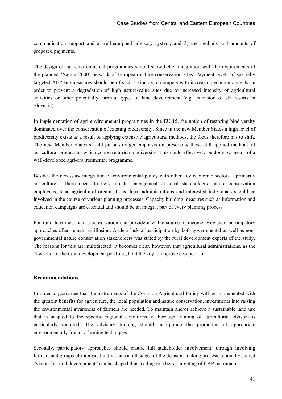communication support and a well-equipped advisory system; and 3) the methods and amounts of proposed payments.

The design of agri-environmental programmes should show better integration with the requirements of the planned 'Natura 2000' network of European nature conservation sites. Payment levels of specially targeted AEP sub-measures should be of such a kind as to compete with increasing economic yields, in order to prevent a degradation of high nature-value sites due to increased intensity of agricultural activities or other potentially harmful types of land development (e.g. extension of ski resorts in Slovakia).

In implementation of agri-environmental programmes in the EU-15, the notion of restoring biodiversity dominated over the conservation of existing biodiversity. Since in the new Member States a high level of biodiversity exists as a result of applying extensive agricultural methods, the focus therefore has to shift. The new Member States should put a stronger emphasis on preserving those still applied methods of agricultural production which conserve a rich biodiversity. This could effectively be done by means of a well-developed agri-environmental programme.

Besides the necessary integration of environmental policy with other key economic sectors – primarily agriculture – there needs to be a greater engagement of local stakeholders: nature conservation employees, local agricultural organisations, local administrations and interested individuals should be involved in the course of various planning processes. Capacity building measures such as information and education campaigns are essential and should be an integral part of every planning process.

For rural localities, nature conservation can provide a viable source of income. However, participatory approaches often remain an illusion: A clear lack of participation by both governmental as well as nongovernmental nature conservation stakeholders was stated by the rural development experts of the study. The reasons for this are multifaceted. It becomes clear, however, that agricultural administrations, as the "owners" of the rural development portfolio, hold the key to improve co-operation.

### **Recommendations**

In order to guarantee that the instruments of the Common Agricultural Policy will be implemented with the greatest benefits for agriculture, the local population and nature conservation, investments into raising the environmental awareness of farmers are needed. To maintain and/or achieve a sustainable land use that is adapted to the specific regional conditions, a thorough training of agricultural advisors is particularly required. The advisory training should incorporate the promotion of appropriate environmentally friendly farming techniques.

Secondly, participatory approaches should ensure full stakeholder involvement: through involving farmers and groups of interested individuals at all stages of the decision-making process, a broadly shared "vision for rural development" can be shaped thus leading to a better targeting of CAP instruments.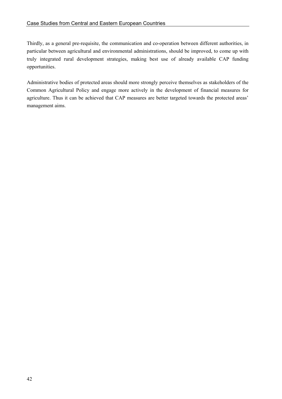Thirdly, as a general pre-requisite, the communication and co-operation between different authorities, in particular between agricultural and environmental administrations, should be improved, to come up with truly integrated rural development strategies, making best use of already available CAP funding opportunities.

Administrative bodies of protected areas should more strongly perceive themselves as stakeholders of the Common Agricultural Policy and engage more actively in the development of financial measures for agriculture. Thus it can be achieved that CAP measures are better targeted towards the protected areas' management aims.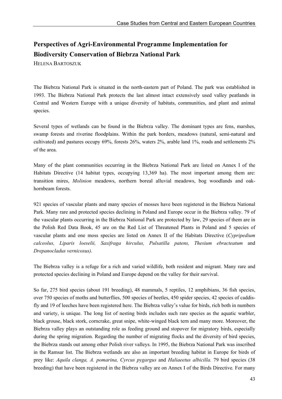# **Perspectives of Agri-Environmental Programme Implementation for Biodiversity Conservation of Biebrza National Park**

HELENA BARTOSZUK

The Biebrza National Park is situated in the north-eastern part of Poland. The park was established in 1993. The Biebrza National Park protects the last almost intact extensively used valley peatlands in Central and Western Europe with a unique diversity of habitats, communities, and plant and animal species.

Several types of wetlands can be found in the Biebrza valley. The dominant types are fens, marshes, swamp forests and riverine floodplains. Within the park borders, meadows (natural, semi-natural and cultivated) and pastures occupy 69%, forests 26%, waters 2%, arable land 1%, roads and settlements 2% of the area.

Many of the plant communities occurring in the Biebrza National Park are listed on Annex I of the Habitats Directive (14 habitat types, occupying 13,369 ha). The most important among them are: transition mires, *Molinion* meadows, northern boreal alluvial meadows, bog woodlands and oakhornbeam forests.

921 species of vascular plants and many species of mosses have been registered in the Biebrza National Park. Many rare and protected species declining in Poland and Europe occur in the Biebrza valley. 79 of the vascular plants occurring in the Biebrza National Park are protected by law, 29 species of them are in the Polish Red Data Book, 45 are on the Red List of Threatened Plants in Poland and 5 species of vascular plants and one moss species are listed on Annex II of the Habitats Directive (*Cypripedium calceolus, Liparis loeselii, Saxifraga hirculus, Pulsatilla patens, Thesium ebracteatum* and *Drepanocladus vernicosus).* 

The Biebrza valley is a refuge for a rich and varied wildlife, both resident and migrant. Many rare and protected species declining in Poland and Europe depend on the valley for their survival.

So far, 275 bird species (about 191 breeding), 48 mammals, 5 reptiles, 12 amphibians, 36 fish species, over 750 species of moths and butterflies, 500 species of beetles, 450 spider species, 42 species of caddisfly and 19 of leeches have been registered here. The Biebrza valley's value for birds, rich both in numbers and variety, is unique. The long list of nesting birds includes such rare species as the aquatic warbler, black grouse, black stork, corncrake, great snipe, white-winged black tern and many more. Moreover, the Biebrza valley plays an outstanding role as feeding ground and stopover for migratory birds, especially during the spring migration. Regarding the number of migrating flocks and the diversity of bird species, the Biebrza stands out among other Polish river valleys. In 1995, the Biebrza National Park was inscribed in the Ramsar list. The Biebrza wetlands are also an important breeding habitat in Europe for birds of prey like: *Aquila clanga, A. pomarina, Cyrcus pygargus* and *Haliaeetus albicilla.* 79 bird species (38 breeding) that have been registered in the Biebrza valley are on Annex I of the Birds Directive*.* For many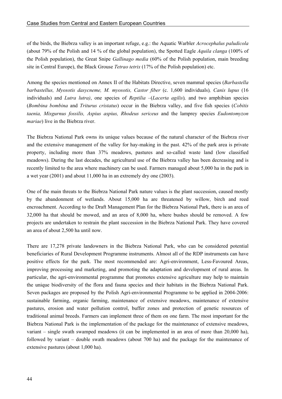of the birds, the Biebrza valley is an important refuge, e.g.: the Aquatic Warbler *Acrocephalus paludicola*  (about 79% of the Polish and 14 % of the global population), the Spotted Eagle *Aquila clanga* (100% of the Polish population), the Great Snipe *Gallinago media* (60% of the Polish population, main breeding site in Central Europe), the Black Grouse *Tetrao tetrix* (17% of the Polish population) etc.

Among the species mentioned on Annex II of the Habitats Directive, seven mammal species (*Barbastella barbastellus, Myosotis dasycneme, M. myosotis, Castor fiber* (c. 1,600 individuals)*, Canis lupus* (16 individuals) and *Lutra lutra)*, one species of *Reptilia –*(*Lacerta agilis*)*,* and two amphibian species (*Bombina bombina* and *Triturus cristatus*) occur in the Biebrza valley, and five fish species (*Cobitis taenia, Misgurnus fossilis, Aspius aspius, Rhodeus sericeus* and the lamprey species *Eudontomyzon mariae*) live in the Biebrza river.

The Biebrza National Park owns its unique values because of the natural character of the Biebrza river and the extensive management of the valley for hay-making in the past. 42% of the park area is private property, including more than 37% meadows, pastures and so-called waste land (low classified meadows). During the last decades, the agricultural use of the Biebrza valley has been decreasing and is recently limited to the area where machinery can be used. Farmers managed about 5,000 ha in the park in a wet year (2001) and about 11,000 ha in an extremely dry one (2003).

One of the main threats to the Biebrza National Park nature values is the plant succession, caused mostly by the abandonment of wetlands. About 15,000 ha are threatened by willow, birch and reed encroachment. According to the Draft Management Plan for the Biebrza National Park, there is an area of 32,000 ha that should be mowed, and an area of 8,000 ha, where bushes should be removed. A few projects are undertaken to restrain the plant succession in the Biebrza National Park. They have covered an area of about 2,500 ha until now.

There are 17,278 private landowners in the Biebrza National Park, who can be considered potential beneficiaries of Rural Development Programme instruments. Almost all of the RDP instruments can have positive effects for the park. The most recommended are: Agri-environment, Less-Favoured Areas, improving processing and marketing, and promoting the adaptation and development of rural areas. In particular, the agri-environmental programme that promotes extensive agriculture may help to maintain the unique biodiversity of the flora and fauna species and their habitats in the Biebrza National Park. Seven packages are proposed by the Polish Agri-environmental Programme to be applied in 2004-2006: sustainable farming, organic farming, maintenance of extensive meadows, maintenance of extensive pastures, erosion and water pollution control, buffer zones and protection of genetic resources of traditional animal breeds. Farmers can implement three of them on one farm. The most important for the Biebrza National Park is the implementation of the package for the maintenance of extensive meadows, variant – single swath swamped meadows (it can be implemented in an area of more than 20,000 ha), followed by variant – double swath meadows (about 700 ha) and the package for the maintenance of extensive pastures (about 1,000 ha).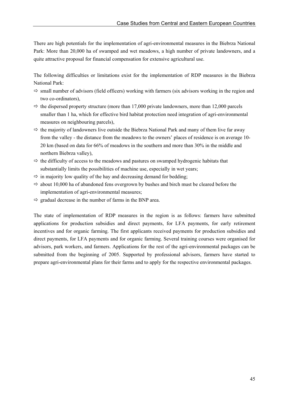There are high potentials for the implementation of agri-environmental measures in the Biebrza National Park: More than 20,000 ha of swamped and wet meadows, a high number of private landowners, and a quite attractive proposal for financial compensation for extensive agricultural use.

The following difficulties or limitations exist for the implementation of RDP measures in the Biebrza National Park:

- $\Rightarrow$  small number of advisors (field officers) working with farmers (six advisors working in the region and two co-ordinators),
- $\Rightarrow$  the dispersed property structure (more than 17,000 private landowners, more than 12,000 parcels smaller than 1 ha, which for effective bird habitat protection need integration of agri-environmental measures on neighbouring parcels),
- $\Rightarrow$  the majority of landowners live outside the Biebrza National Park and many of them live far away from the valley - the distance from the meadows to the owners' places of residence is on average 10- 20 km (based on data for 66% of meadows in the southern and more than 30% in the middle and northern Biebrza valley),
- $\Rightarrow$  the difficulty of access to the meadows and pastures on swamped hydrogenic habitats that substantially limits the possibilities of machine use, especially in wet years;
- $\Rightarrow$  in majority low quality of the hay and decreasing demand for bedding;
- $\Rightarrow$  about 10,000 ha of abandoned fens overgrown by bushes and birch must be cleared before the implementation of agri-environmental measures;
- $\Rightarrow$  gradual decrease in the number of farms in the BNP area.

The state of implementation of RDP measures in the region is as follows: farmers have submitted applications for production subsidies and direct payments, for LFA payments, for early retirement incentives and for organic farming. The first applicants received payments for production subsidies and direct payments, for LFA payments and for organic farming. Several training courses were organised for advisors, park workers, and farmers. Applications for the rest of the agri-environmental packages can be submitted from the beginning of 2005. Supported by professional advisors, farmers have started to prepare agri-environmental plans for their farms and to apply for the respective environmental packages.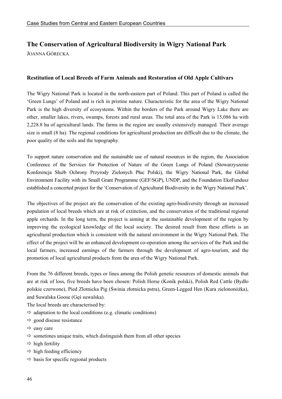## **The Conservation of Agricultural Biodiversity in Wigry National Park**  JOANNA GÓRECKA

#### **Restitution of Local Breeds of Farm Animals and Restoration of Old Apple Cultivars**

The Wigry National Park is located in the north-eastern part of Poland. This part of Poland is called the 'Green Lungs' of Poland and is rich in pristine nature. Characteristic for the area of the Wigry National Park is the high diversity of ecosystems. Within the borders of the Park around Wigry Lake there are other, smaller lakes, rivers, swamps, forests and rural areas. The total area of the Park is 15,086 ha with 2,228.8 ha of agricultural lands. The farms in the region are usually extensively managed. Their average size is small (8 ha). The regional conditions for agricultural production are difficult due to the climate, the poor quality of the soils and the topography.

To support nature conservation and the sustainable use of natural resources in the region, the Association Conference of the Services for Protection of Nature of the Green Lungs of Poland (Stowarzyszenie Konferencja Służb Ochrony Przyrody Zielonych Płuc Polski), the Wigry National Park, the Global Environment Facility with its Small Grant Programme (GEF/SGP), UNDP, and the Foundation EkoFundusz established a concerted project for the 'Conservation of Agricultural Biodiversity in the Wigry National Park'.

The objectives of the project are the conservation of the existing agro-biodiversity through an increased population of local breeds which are at risk of extinction, and the conservation of the traditional regional apple orchards. In the long term, the project is aiming at the sustainable development of the region by improving the ecological knowledge of the local society. The desired result from these efforts is an agricultural production which is consistent with the natural environment in the Wigry National Park. The effect of the project will be an enhanced development co-operation among the services of the Park and the local farmers, increased earnings of the farmers through the development of agro-tourism, and the promotion of local agricultural products from the area of the Wigry National Park.

From the 76 different breeds, types or lines among the Polish genetic resources of domestic animals that are at risk of loss, five breeds have been chosen: Polish Horse (Konik polski), Polish Red Cattle (Bydło polskie czerwone), Pied Zlotnicka Pig (Świnia złotnicka pstra), Green-Legged Hen (Kura zielononóżka), and Suwalska Goose (Gęś suwalska).

The local breeds are characterised by:

- $\Rightarrow$  adaptation to the local conditions (e.g. climatic conditions)
- $\Rightarrow$  good disease resistance
- $\Rightarrow$  easy care
- $\Rightarrow$  sometimes unique traits, which distinguish them from all other species
- $\Rightarrow$  high fertility
- $\Rightarrow$  high feeding efficiency
- $\Rightarrow$  basis for specific regional products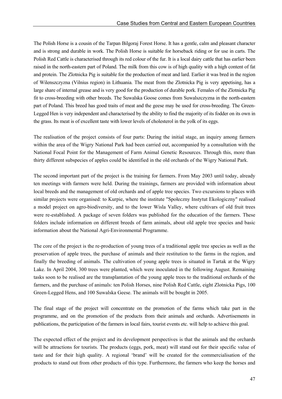The Polish Horse is a cousin of the Tarpan Bilgoraj Forest Horse. It has a gentle, calm and pleasant character and is strong and durable in work. The Polish Horse is suitable for horseback riding or for use in carts. The Polish Red Cattle is characterised through its red colour of the fur. It is a local dairy cattle that has earlier been raised in the north-eastern part of Poland. The milk from this cow is of high quality with a high content of fat and protein. The Zlotnicka Pig is suitable for the production of meat and lard. Earlier it was bred in the region of Wilenszczyzna (Vilnius region) in Lithuania. The meat from the Zlotnicka Pig is very appetising, has a large share of internal grease and is very good for the production of durable pork. Females of the Zlotnicka Pig fit to cross-breeding with other breeds. The Suwalska Goose comes from Suwalszczyzna in the north-eastern part of Poland. This breed has good traits of meat and the geese may be used for cross-breeding. The Green-Legged Hen is very independent and characterised by the ability to find the majority of its fodder on its own in the grass. Its meat is of excellent taste with lower levels of cholesterol in the yolk of its eggs.

The realisation of the project consists of four parts: During the initial stage, an inquiry among farmers within the area of the Wigry National Park had been carried out, accompanied by a consultation with the National Focal Point for the Management of Farm Animal Genetic Resources. Through this, more than thirty different subspecies of apples could be identified in the old orchards of the Wigry National Park.

The second important part of the project is the training for farmers. From May 2003 until today, already ten meetings with farmers were held. During the trainings, farmers are provided with information about local breeds and the management of old orchards and of apple tree species. Two excursions to places with similar projects were organised: to Kurpie, where the institute "Społeczny Instytut Ekologiczny" realised a model project on agro-biodiversity, and to the lower Wisla Valley, where cultivars of old fruit trees were re-established. A package of seven folders was published for the education of the farmers. These folders include information on different breeds of farm animals, about old apple tree species and basic information about the National Agri-Environmental Programme.

The core of the project is the re-production of young trees of a traditional apple tree species as well as the preservation of apple trees, the purchase of animals and their restitution to the farms in the region, and finally the breeding of animals. The cultivation of young apple trees is situated in Tartak at the Wigry Lake. In April 2004, 300 trees were planted, which were inoculated in the following August. Remaining tasks soon to be realised are the transplantation of the young apple trees to the traditional orchards of the farmers, and the purchase of animals: ten Polish Horses, nine Polish Red Cattle, eight Zlotnicka Pigs, 100 Green-Legged Hens, and 100 Suwalska Geese. The animals will be bought in 2005.

The final stage of the project will concentrate on the promotion of the farms which take part in the programme, and on the promotion of the products from their animals and orchards. Advertisements in publications, the participation of the farmers in local fairs, tourist events etc. will help to achieve this goal.

The expected effect of the project and its development perspectives is that the animals and the orchards will be attractions for tourists. The products (eggs, pork, meat) will stand out for their specific value of taste and for their high quality. A regional 'brand' will be created for the commercialisation of the products to stand out from other products of this type. Furthermore, the farmers who keep the horses and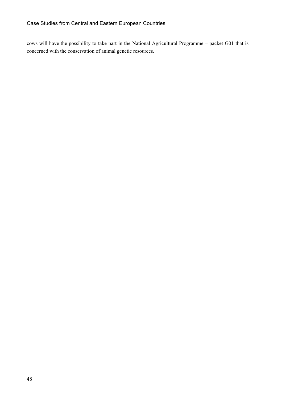cows will have the possibility to take part in the National Agricultural Programme – packet G01 that is concerned with the conservation of animal genetic resources.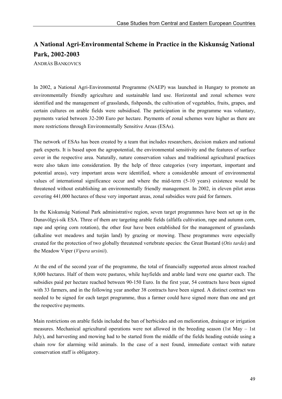# **A National Agri-Environmental Scheme in Practice in the Kiskunság National Park, 2002-2003**

ANDRÁS BANKOVICS

In 2002, a National Agri-Environmental Programme (NAEP) was launched in Hungary to promote an environmentally friendly agriculture and sustainable land use. Horizontal and zonal schemes were identified and the management of grasslands, fishponds, the cultivation of vegetables, fruits, grapes, and certain cultures on arable fields were subsidised. The participation in the programme was voluntary, payments varied between 32-200 Euro per hectare. Payments of zonal schemes were higher as there are more restrictions through Environmentally Sensitive Areas (ESAs).

The network of ESAs has been created by a team that includes researchers, decision makers and national park experts. It is based upon the agropotential, the environmental sensitivity and the features of surface cover in the respective area. Naturally, nature conservation values and traditional agricultural practices were also taken into consideration. By the help of three categories (very important, important and potential areas), very important areas were identified, where a considerable amount of environmental values of international significance occur and where the mid-term (5-10 years) existence would be threatened without establishing an environmentally friendly management. In 2002, in eleven pilot areas covering 441,000 hectares of these very important areas, zonal subsidies were paid for farmers.

In the Kiskunság National Park administrative region, seven target programmes have been set up in the Dunavölgyi-sík ESA. Three of them are targeting arable fields (alfalfa cultivation, rape and autumn corn, rape and spring corn rotation), the other four have been established for the management of grasslands (alkaline wet meadows and turján land) by grazing or mowing. These programmes were especially created for the protection of two globally threatened vertebrate species: the Great Bustard (*Otis tarda*) and the Meadow Viper (*Vipera ursinii*).

At the end of the second year of the programme, the total of financially supported areas almost reached 8,000 hectares. Half of them were pastures, while hayfields and arable land were one quarter each. The subsidies paid per hectare reached between 90-150 Euro. In the first year, 54 contracts have been signed with 33 farmers, and in the following year another 38 contracts have been signed. A distinct contract was needed to be signed for each target programme, thus a farmer could have signed more than one and get the respective payments.

Main restrictions on arable fields included the ban of herbicides and on melioration, drainage or irrigation measures. Mechanical agricultural operations were not allowed in the breeding season (1st May – 1st July), and harvesting and mowing had to be started from the middle of the fields heading outside using a chain row for alarming wild animals. In the case of a nest found, immediate contact with nature conservation staff is obligatory.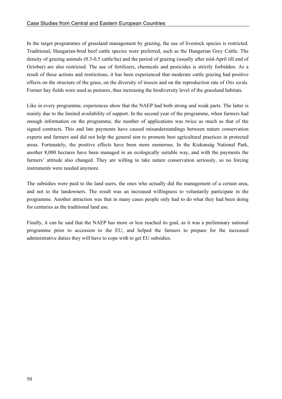In the target programmes of grassland management by grazing, the use of livestock species is restricted. Traditional, Hungarian-bred beef cattle species were preferred, such as the Hungarian Grey Cattle. The density of grazing animals (0.3-0.5 cattle/ha) and the period of grazing (usually after mid-April till end of October) are also restricted. The use of fertilizers, chemicals and pesticides is strictly forbidden. As a result of these actions and restrictions, it has been experienced that moderate cattle grazing had positive effects on the structure of the grass, on the diversity of insects and on the reproduction rate of *Otis tarda*. Former hay fields were used as pastures, thus increasing the biodiversity level of the grassland habitats.

Like in every programme, experiences show that the NAEP had both strong and weak parts. The latter is mainly due to the limited availability of support. In the second year of the programme, when farmers had enough information on the programme, the number of applications was twice as much as that of the signed contracts. This and late payments have caused misunderstandings between nature conservation experts and farmers and did not help the general aim to promote best agricultural practices in protected areas. Fortunately, the positive effects have been more numerous. In the Kiskunság National Park, another 8,000 hectares have been managed in an ecologically suitable way, and with the payments the farmers' attitude also changed. They are willing to take nature conservation seriously, so no forcing instruments were needed anymore.

The subsidies were paid to the land users, the ones who actually did the management of a certain area, and not to the landowners. The result was an increased willingness to voluntarily participate in the programme. Another attraction was that in many cases people only had to do what they had been doing for centuries as the traditional land use.

Finally, it can be said that the NAEP has more or less reached its goal, as it was a preliminary national programme prior to accession to the EU, and helped the farmers to prepare for the increased administrative duties they will have to cope with to get EU subsidies.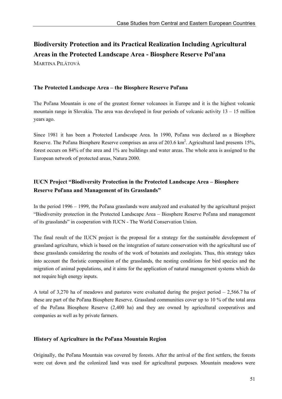# **Biodiversity Protection and its Practical Realization Including Agricultural Areas in the Protected Landscape Area - Biosphere Reserve Pol'ana**  MARTINA PILÁTOVÁ

**The Protected Landscape Area – the Biosphere Reserve Poľana** 

The Poľana Mountain is one of the greatest former volcanoes in Europe and it is the highest volcanic mountain range in Slovakia. The area was developed in four periods of volcanic activity 13 – 15 million years ago.

Since 1981 it has been a Protected Landscape Area. In 1990, Poľana was declared as a Biosphere Reserve. The Pol'ana Biosphere Reserve comprises an area of 203.6  $\text{km}^2$ . Agricultural land presents 15%, forest occurs on 84% of the area and 1% are buildings and water areas. The whole area is assigned to the European network of protected areas, Natura 2000.

### **IUCN Project "Biodiversity Protection in the Protected Landscape Area – Biosphere Reserve Poľana and Management of its Grasslands"**

In the period 1996 – 1999, the Poľana grasslands were analyzed and evaluated by the agricultural project "Biodiversity protection in the Protected Landscape Area – Biosphere Reserve Poľana and management of its grasslands" in cooperation with IUCN - The World Conservation Union.

The final result of the IUCN project is the proposal for a strategy for the sustainable development of grassland agriculture, which is based on the integration of nature conservation with the agricultural use of these grasslands considering the results of the work of botanists and zoologists. Thus, this strategy takes into account the floristic composition of the grasslands, the nesting conditions for bird species and the migration of animal populations, and it aims for the application of natural management systems which do not require high energy inputs.

A total of 3,270 ha of meadows and pastures were evaluated during the project period – 2,566.7 ha of these are part of the Poľana Biosphere Reserve. Grassland communities cover up to 10 % of the total area of the Poľana Biosphere Reserve (2,400 ha) and they are owned by agricultural cooperatives and companies as well as by private farmers.

### **History of Agriculture in the Poľana Mountain Region**

Originally, the Poľana Mountain was covered by forests. After the arrival of the first settlers, the forests were cut down and the colonized land was used for agricultural purposes. Mountain meadows were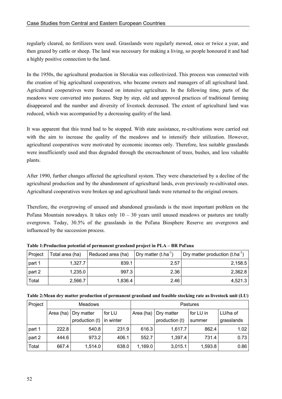regularly cleared, no fertilizers were used. Grasslands were regularly mowed, once or twice a year, and then grazed by cattle or sheep. The land was necessary for making a living, so people honoured it and had a highly positive connection to the land.

In the 1950s, the agricultural production in Slovakia was collectivized. This process was connected with the creation of big agricultural cooperatives, who became owners and managers of all agricultural land. Agricultural cooperatives were focused on intensive agriculture. In the following time, parts of the meadows were converted into pastures. Step by step, old and approved practices of traditional farming disappeared and the number and diversity of livestock decreased. The extent of agricultural land was reduced, which was accompanied by a decreasing quality of the land.

It was apparent that this trend had to be stopped. With state assistance, re-cultivations were carried out with the aim to increase the quality of the meadows and to intensify their utilization. However, agricultural cooperatives were motivated by economic incomes only. Therefore, less suitable grasslands were insufficiently used and thus degraded through the encroachment of trees, bushes, and less valuable plants.

After 1990, further changes affected the agricultural system. They were characterised by a decline of the agricultural production and by the abandonment of agricultural lands, even previously re-cultivated ones. Agricultural cooperatives were broken up and agricultural lands were returned to the original owners.

Therefore, the overgrowing of unused and abandoned grasslands is the most important problem on the Poľana Mountain nowadays. It takes only  $10 - 30$  years until unused meadows or pastures are totally overgrown. Today, 30.5% of the grasslands in the Poľana Biosphere Reserve are overgrown and influenced by the succession process.

| Project | Total area (ha) | Reduced area (ha) | Dry matter $(t.ha^{-1})$ | Dry matter production $(t.ha^{-1})$ |
|---------|-----------------|-------------------|--------------------------|-------------------------------------|
| part 1  | 1,327.7         | 839.1             | 2.57                     | 2,158.5                             |
| part 2  | 1.235.0         | 997.3             | 2.36                     | 2.362.8                             |
| Total   | 2,566.7         | 1,836.4           | 2.46                     | 4.521.3                             |

**Table 1:Production potential of permanent grassland project in PLA – BR Poľana** 

| Table 2: Mean dry matter production of permanent grassland and feasible stocking rate as livestock unit (LU) |  |  |  |  |
|--------------------------------------------------------------------------------------------------------------|--|--|--|--|
|--------------------------------------------------------------------------------------------------------------|--|--|--|--|

| Project | <b>Meadows</b> |                              |           | Pastures  |                |           |            |
|---------|----------------|------------------------------|-----------|-----------|----------------|-----------|------------|
|         |                | Area (ha) $\vert$ Dry matter | for LU    | Area (ha) | Dry matter     | for LU in | LU/ha of   |
|         |                | production $(t)$             | in winter |           | production (t) | summer    | grasslands |
| part 1  | 222.8          | 540.8                        | 231.9     | 616.3     | 1,617.7        | 862.4     | 1.02       |
| part 2  | 444.6          | 973.2                        | 406.1     | 552.7     | 1,397.4        | 731.4     | 0.73       |
| Total   | 667.4          | 1,514.0                      | 638.0     | 1,169.0   | 3,015.1        | 1,593.8   | 0.86       |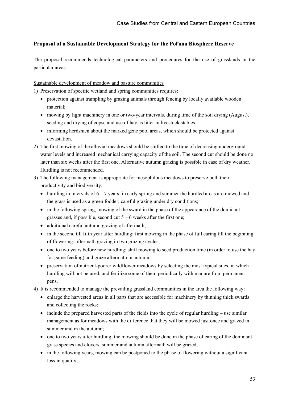### **Proposal of a Sustainable Development Strategy for the Poľana Biosphere Reserve**

The proposal recommends technological parameters and procedures for the use of grasslands in the particular areas.

Sustainable development of meadow and pasture communities

1) Preservation of specific wetland and spring communities requires:

- protection against trampling by grazing animals through fencing by locally available wooden material;
- mowing by light machinery in one or two-year intervals, during time of the soil drying (August), seeding and drying of copse and use of hay as litter in livestock stables;
- informing herdsmen about the marked gene pool areas, which should be protected against devastation.
- 2) The first mowing of the alluvial meadows should be shifted to the time of decreasing underground water levels and increased mechanical carrying capacity of the soil. The second cut should be done no later than six weeks after the first one. Alternative autumn grazing is possible in case of dry weather. Hurdling is not recommended.
- 3) The following management is appropriate for mesophilous meadows to preserve both their productivity and biodiversity:
	- hurdling in intervals of  $6 7$  years; in early spring and summer the hurdled areas are mowed and the grass is used as a green fodder; careful grazing under dry conditions;
	- in the following spring, mowing of the sward in the phase of the appearance of the dominant grasses and, if possible, second cut  $5 - 6$  weeks after the first one;
	- additional careful autumn grazing of aftermath;
	- in the second till fifth year after hurdling: first mowing in the phase of full earing till the beginning of flowering; aftermath grazing in two grazing cycles;
	- one to two years before new hurdling: shift mowing to seed production time (in order to use the hay for game feeding) and graze aftermath in autumn;
	- preservation of nutrient-poorer wildflower meadows by selecting the most typical sites, in which hurdling will not be used, and fertilize some of them periodically with manure from permanent pens.
- 4) It is recommended to manage the prevailing grassland communities in the area the following way:
	- enlarge the harvested areas in all parts that are accessible for machinery by thinning thick swards and collecting the rocks;
	- include the prepared harvested parts of the fields into the cycle of regular hurdling use similar management as for meadows with the difference that they will be mowed just once and grazed in summer and in the autumn;
	- one to two years after hurdling, the mowing should be done in the phase of earing of the dominant grass species and clovers, summer and autumn aftermath will be grazed;
	- in the following years, mowing can be postponed to the phase of flowering without a significant loss in quality;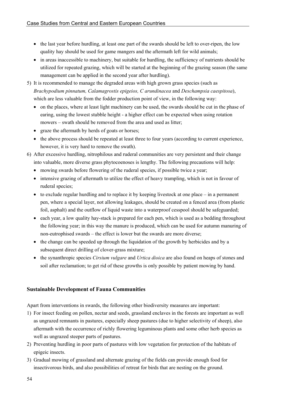- the last year before hurdling, at least one part of the swards should be left to over-ripen, the low quality hay should be used for game mangers and the aftermath left for wild animals;
- in areas inaccessible to machinery, but suitable for hurdling, the sufficiency of nutrients should be utilized for repeated grazing, which will be started at the beginning of the grazing season (the same management can be applied in the second year after hurdling).
- 5) It is recommended to manage the degraded areas with high grown grass species (such as *Brachypodium pinnatum, Calamagrostis epigeios, C arundinacea* and *Deschampsia caespitosa*), which are less valuable from the fodder production point of view, in the following way:
	- on the places, where at least light machinery can be used, the swards should be cut in the phase of earing, using the lowest stubble height - a higher effect can be expected when using rotation mowers – swath should be removed from the area and used as litter;
	- graze the aftermath by herds of goats or horses;
	- the above process should be repeated at least three to four years (according to current experience, however, it is very hard to remove the swath).
- 6) After excessive hurdling, nitrophilous and ruderal communities are very persistent and their change into valuable, more diverse grass phytocoenoses is lengthy. The following precautions will help:
	- mowing swards before flowering of the ruderal species, if possible twice a year;
	- intensive grazing of aftermath to utilize the effect of heavy trampling, which is not in favour of ruderal species;
	- to exclude regular hurdling and to replace it by keeping livestock at one place in a permanent pen, where a special layer, not allowing leakages, should be created on a fenced area (from plastic foil, asphalt) and the outflow of liquid waste into a waterproof cesspool should be safeguarded;
	- each year, a low quality hay-stack is prepared for each pen, which is used as a bedding throughout the following year; in this way the manure is produced, which can be used for autumn manuring of non-eutrophised swards – the effect is lower but the swards are more diverse;
	- the change can be speeded up through the liquidation of the growth by herbicides and by a subsequent direct drilling of clover-grass mixture;
	- the synanthropic species *Cirsium vulgare* and *Urtica dioica* are also found on heaps of stones and soil after reclamation; to get rid of these growths is only possible by patient mowing by hand.

### **Sustainable Development of Fauna Communities**

Apart from interventions in swards, the following other biodiversity measures are important:

- 1) For insect feeding on pollen, nectar and seeds, grassland enclaves in the forests are important as well as ungrazed remnants in pastures, especially sheep pastures (due to higher selectivity of sheep), also aftermath with the occurrence of richly flowering leguminous plants and some other herb species as well as ungrazed steeper parts of pastures.
- 2) Preventing hurdling in poor parts of pastures with low vegetation for protection of the habitats of epigeic insects.
- 3) Gradual mowing of grassland and alternate grazing of the fields can provide enough food for insectivorous birds, and also possibilities of retreat for birds that are nesting on the ground.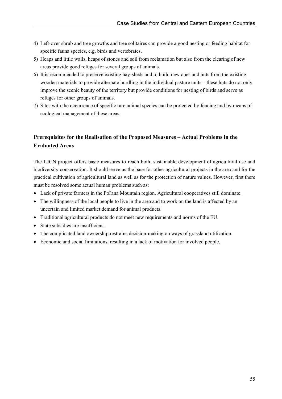- 4) Left-over shrub and tree growths and tree solitaires can provide a good nesting or feeding habitat for specific fauna species, e.g. birds and vertebrates.
- 5) Heaps and little walls, heaps of stones and soil from reclamation but also from the clearing of new areas provide good refuges for several groups of animals.
- 6) It is recommended to preserve existing hay-sheds and to build new ones and huts from the existing wooden materials to provide alternate hurdling in the individual pasture units – these huts do not only improve the scenic beauty of the territory but provide conditions for nesting of birds and serve as refuges for other groups of animals.
- 7) Sites with the occurrence of specific rare animal species can be protected by fencing and by means of ecological management of these areas.

### **Prerequisites for the Realisation of the Proposed Measures – Actual Problems in the Evaluated Areas**

The IUCN project offers basic measures to reach both, sustainable development of agricultural use and biodiversity conservation. It should serve as the base for other agricultural projects in the area and for the practical cultivation of agricultural land as well as for the protection of nature values. However, first there must be resolved some actual human problems such as:

- Lack of private farmers in the Poľana Mountain region. Agricultural cooperatives still dominate.
- The willingness of the local people to live in the area and to work on the land is affected by an uncertain and limited market demand for animal products.
- Traditional agricultural products do not meet new requirements and norms of the EU.
- State subsidies are insufficient.
- The complicated land ownership restrains decision-making on ways of grassland utilization.
- Economic and social limitations, resulting in a lack of motivation for involved people.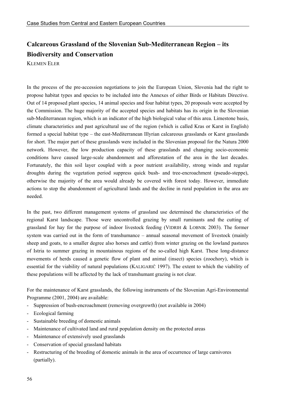# **Calcareous Grassland of the Slovenian Sub-Mediterranean Region – its Biodiversity and Conservation**

KLEMEN ELER

In the process of the pre-accession negotiations to join the European Union, Slovenia had the right to propose habitat types and species to be included into the Annexes of either Birds or Habitats Directive. Out of 14 proposed plant species, 14 animal species and four habitat types, 20 proposals were accepted by the Commission. The huge majority of the accepted species and habitats has its origin in the Slovenian sub-Mediterranean region, which is an indicator of the high biological value of this area. Limestone basis, climate characteristics and past agricultural use of the region (which is called Kras or Karst in English) formed a special habitat type – the east-Mediterranean Illyrian calcareous grasslands or Karst grasslands for short. The major part of these grasslands were included in the Slovenian proposal for the Natura 2000 network. However, the low production capacity of these grasslands and changing socio-economic conditions have caused large-scale abandonment and afforestation of the area in the last decades. Fortunately, the thin soil layer coupled with a poor nutrient availability, strong winds and regular droughts during the vegetation period suppress quick bush- and tree-encroachment (pseudo-steppe), otherwise the majority of the area would already be covered with forest today. However, immediate actions to stop the abandonment of agricultural lands and the decline in rural population in the area are needed.

In the past, two different management systems of grassland use determined the characteristics of the regional Karst landscape. Those were uncontrolled grazing by small ruminants and the cutting of grassland for hay for the purpose of indoor livestock feeding (VIDRIH & LOBNIK 2003). The former system was carried out in the form of transhumance – annual seasonal movement of livestock (mainly sheep and goats, to a smaller degree also horses and cattle) from winter grazing on the lowland pastures of Istria to summer grazing in mountainous regions of the so-called high Karst. These long-distance movements of herds caused a genetic flow of plant and animal (insect) species (zoochory), which is essential for the viability of natural populations (KALIGARIČ 1997). The extent to which the viability of these populations will be affected by the lack of transhumant grazing is not clear.

For the maintenance of Karst grasslands, the following instruments of the Slovenian Agri-Environmental Programme (2001, 2004) are available:

- Suppression of bush-encroachment (removing overgrowth) (not available in 2004)
- Ecological farming
- Sustainable breeding of domestic animals
- Maintenance of cultivated land and rural population density on the protected areas
- Maintenance of extensively used grasslands
- Conservation of special grassland habitats
- Restructuring of the breeding of domestic animals in the area of occurrence of large carnivores (partially).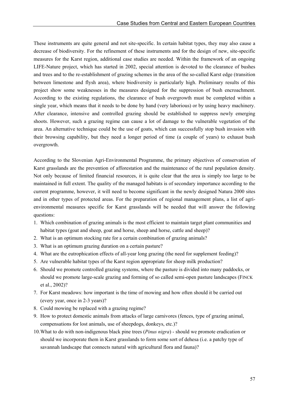These instruments are quite general and not site-specific. In certain habitat types, they may also cause a decrease of biodiversity. For the refinement of these instruments and for the design of new, site-specific measures for the Karst region, additional case studies are needed. Within the framework of an ongoing LIFE-Nature project, which has started in 2002, special attention is devoted to the clearance of bushes and trees and to the re-establishment of grazing schemes in the area of the so-called Karst edge (transition between limestone and flysh area), where biodiversity is particularly high. Preliminary results of this project show some weaknesses in the measures designed for the suppression of bush encroachment. According to the existing regulations, the clearance of bush overgrowth must be completed within a single year, which means that it needs to be done by hand (very laborious) or by using heavy machinery. After clearance, intensive and controlled grazing should be established to suppress newly emerging shoots. However, such a grazing regime can cause a lot of damage to the vulnerable vegetation of the area. An alternative technique could be the use of goats, which can successfully stop bush invasion with their browsing capability, but they need a longer period of time (a couple of years) to exhaust bush overgrowth.

According to the Slovenian Agri-Environmental Programme, the primary objectives of conservation of Karst grasslands are the prevention of afforestation and the maintenance of the rural population density. Not only because of limited financial resources, it is quite clear that the area is simply too large to be maintained in full extent. The quality of the managed habitats is of secondary importance according to the current programme, however, it will need to become significant in the newly designed Natura 2000 sites and in other types of protected areas. For the preparation of regional management plans, a list of agrienvironmental measures specific for Karst grasslands will be needed that will answer the following questions:

- 1. Which combination of grazing animals is the most efficient to maintain target plant communities and habitat types (goat and sheep, goat and horse, sheep and horse, cattle and sheep)?
- 2. What is an optimum stocking rate for a certain combination of grazing animals?
- 3. What is an optimum grazing duration on a certain pasture?
- 4. What are the eutrophication effects of all-year long grazing (the need for supplement feeding)?
- 5. Are vulnerable habitat types of the Karst region appropriate for sheep milk production?
- 6. Should we promote controlled grazing systems, where the pasture is divided into many paddocks, or should we promote large-scale grazing and forming of so called semi-open pasture landscapes (FINCK et al., 2002)?
- 7. For Karst meadows: how important is the time of mowing and how often should it be carried out (every year, once in 2-3 years)?
- 8. Could mowing be replaced with a grazing regime?
- 9. How to protect domestic animals from attacks of large carnivores (fences, type of grazing animal, compensations for lost animals, use of sheepdogs, donkeys, etc.)?
- 10. What to do with non-indigenous black pine trees (*Pinus nigra*) should we promote eradication or should we incorporate them in Karst grasslands to form some sort of dehesa (i.e. a patchy type of savannah landscape that connects natural with agricultural flora and fauna)?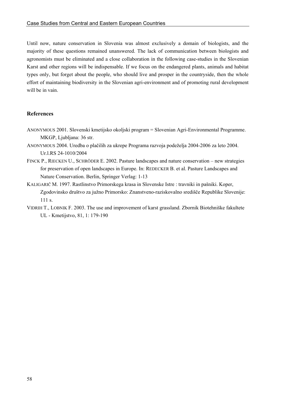Until now, nature conservation in Slovenia was almost exclusively a domain of biologists, and the majority of these questions remained unanswered. The lack of communication between biologists and agronomists must be eliminated and a close collaboration in the following case-studies in the Slovenian Karst and other regions will be indispensable. If we focus on the endangered plants, animals and habitat types only, but forget about the people, who should live and prosper in the countryside, then the whole effort of maintaining biodiversity in the Slovenian agri-environment and of promoting rural development will be in vain.

### **References**

- ANONYMOUS 2001. Slovenski kmetijsko okoljski program = Slovenian Agri-Environmental Programme. MKGP, Ljubljana: 36 str.
- ANONYMOUS 2004. Uredba o plačilih za ukrepe Programa razvoja podeželja 2004-2006 za leto 2004. Ur.l.RS 24-1010/2004
- FINCK P., RIECKEN U., SCHRÖDER E. 2002. Pasture landscapes and nature conservation new strategies for preservation of open landscapes in Europe. In: REDECKER B. et al. Pasture Landscapes and Nature Conservation. Berlin, Springer Verlag: 1-13
- KALIGARIČ M. 1997. Rastlinstvo Primorskega krasa in Slovenske Istre : travniki in pašniki. Koper, Zgodovinsko društvo za južno Primorsko: Znanstveno-raziskovalno središče Republike Slovenije: 111 s.
- VIDRIH T., LOBNIK F. 2003. The use and improvement of karst grassland. Zbornik Biotehniške fakultete UL - Kmetijstvo, 81, 1: 179-190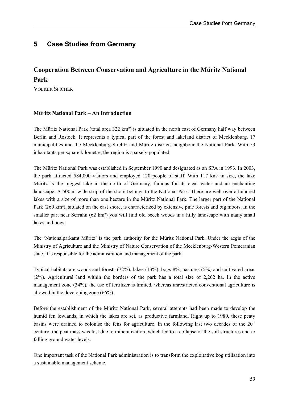# **5 Case Studies from Germany**

# **Cooperation Between Conservation and Agriculture in the Müritz National Park**

VOLKER SPICHER

### **Müritz National Park – An Introduction**

The Müritz National Park (total area 322 km²) is situated in the north east of Germany half way between Berlin and Rostock. It represents a typical part of the forest and lakeland district of Mecklenburg. 17 municipalities and the Mecklenburg-Strelitz and Müritz districts neighbour the National Park. With 53 inhabitants per square kilometre, the region is sparsely populated.

The Müritz National Park was established in September 1990 and designated as an SPA in 1993. In 2003, the park attracted 584,000 visitors and employed 120 people of staff. With 117 km² in size, the lake Müritz is the biggest lake in the north of Germany, famous for its clear water and an enchanting landscape. A 500 m wide strip of the shore belongs to the National Park. There are well over a hundred lakes with a size of more than one hectare in the Müritz National Park. The larger part of the National Park (260 km²), situated on the east shore, is characterized by extensive pine forests and big moors. In the smaller part near Serrahn (62 km²) you will find old beech woods in a hilly landscape with many small lakes and bogs.

The 'Nationalparkamt Müritz' is the park authority for the Müritz National Park. Under the aegis of the Ministry of Agriculture and the Ministry of Nature Conservation of the Mecklenburg-Western Pomeranian state, it is responsible for the administration and management of the park.

Typical habitats are woods and forests (72%), lakes (13%), bogs 8%, pastures (5%) and cultivated areas (2%). Agricultural land within the borders of the park has a total size of 2,262 ha. In the active management zone (34%), the use of fertilizer is limited, whereas unrestricted conventional agriculture is allowed in the developing zone (66%).

Before the establishment of the Müritz National Park, several attempts had been made to develop the humid fen lowlands, in which the lakes are set, as productive farmland. Right up to 1980, these peaty basins were drained to colonise the fens for agriculture. In the following last two decades of the  $20<sup>th</sup>$ century, the peat mass was lost due to mineralization, which led to a collapse of the soil structures and to falling ground water levels.

One important task of the National Park administration is to transform the exploitative bog utilisation into a sustainable management scheme.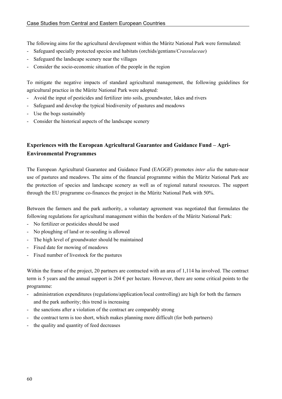The following aims for the agricultural development within the Müritz National Park were formulated:

- Safeguard specially protected species and habitats (orchids/gentians/*Crassulaceae*)
- Safeguard the landscape scenery near the villages
- Consider the socio-economic situation of the people in the region

To mitigate the negative impacts of standard agricultural management, the following guidelines for agricultural practice in the Müritz National Park were adopted:

- Avoid the input of pesticides and fertilizer into soils, groundwater, lakes and rivers
- Safeguard and develop the typical biodiversity of pastures and meadows
- Use the bogs sustainably
- Consider the historical aspects of the landscape scenery

## **Experiences with the European Agricultural Guarantee and Guidance Fund – Agri-Environmental Programmes**

The European Agricultural Guarantee and Guidance Fund (EAGGF) promotes *inter alia* the nature-near use of pastures and meadows. The aims of the financial programme within the Müritz National Park are the protection of species and landscape scenery as well as of regional natural resources. The support through the EU programme co-finances the project in the Müritz National Park with 50%.

Between the farmers and the park authority, a voluntary agreement was negotiated that formulates the following regulations for agricultural management within the borders of the Müritz National Park:

- No fertilizer or pesticides should be used
- No ploughing of land or re-seeding is allowed
- The high level of groundwater should be maintained
- Fixed date for mowing of meadows
- Fixed number of livestock for the pastures

Within the frame of the project, 20 partners are contracted with an area of 1,114 ha involved. The contract term is 5 years and the annual support is 204  $\epsilon$  per hectare. However, there are some critical points to the programme:

- administration expenditures (regulations/application/local controlling) are high for both the farmers and the park authority; this trend is increasing
- the sanctions after a violation of the contract are comparably strong
- the contract term is too short, which makes planning more difficult (for both partners)
- the quality and quantity of feed decreases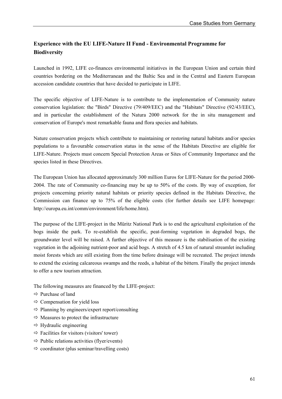## **Experience with the EU LIFE-Nature II Fund - Environmental Programme for Biodiversity**

Launched in 1992, LIFE co-finances environmental initiatives in the European Union and certain third countries bordering on the Mediterranean and the Baltic Sea and in the Central and Eastern European accession candidate countries that have decided to participate in LIFE.

The specific objective of LIFE-Nature is to contribute to the implementation of Community nature conservation legislation: the "Birds" Directive (79/409/EEC) and the "Habitats" Directive (92/43/EEC), and in particular the establishment of the Natura 2000 network for the in situ management and conservation of Europe's most remarkable fauna and flora species and habitats.

Nature conservation projects which contribute to maintaining or restoring natural habitats and/or species populations to a favourable conservation status in the sense of the Habitats Directive are eligible for LIFE-Nature. Projects must concern Special Protection Areas or Sites of Community Importance and the species listed in these Directives.

The European Union has allocated approximately 300 million Euros for LIFE-Nature for the period 2000- 2004. The rate of Community co-financing may be up to 50% of the costs. By way of exception, for projects concerning priority natural habitats or priority species defined in the Habitats Directive, the Commission can finance up to 75% of the eligible costs (for further details see LIFE homepage: http://europa.eu.int/comm/environment/life/home.htm).

The purpose of the LIFE-project in the Müritz National Park is to end the agricultural exploitation of the bogs inside the park. To re-establish the specific, peat-forming vegetation in degraded bogs, the groundwater level will be raised. A further objective of this measure is the stabilisation of the existing vegetation in the adjoining nutrient-poor and acid bogs. A stretch of 4.5 km of natural streamlet including moist forests which are still existing from the time before drainage will be recreated. The project intends to extend the existing calcareous swamps and the reeds, a habitat of the bittern. Finally the project intends to offer a new tourism attraction.

The following measures are financed by the LIFE-project:

- $\Rightarrow$  Purchase of land
- $\Rightarrow$  Compensation for yield loss
- $\Rightarrow$  Planning by engineers/expert report/consulting
- $\Rightarrow$  Measures to protect the infrastructure
- $\Rightarrow$  Hydraulic engineering
- $\Rightarrow$  Facilities for visitors (visitors' tower)
- $\Rightarrow$  Public relations activities (flyer/events)
- $\Rightarrow$  coordinator (plus seminar/travelling costs)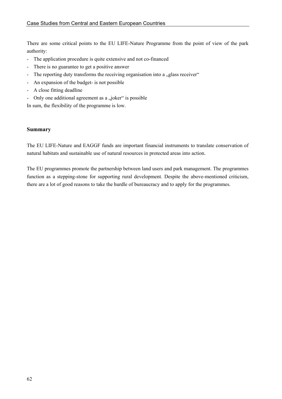There are some critical points to the EU LIFE-Nature Programme from the point of view of the park authority:

- The application procedure is quite extensive and not co-financed
- There is no guarantee to get a positive answer
- The reporting duty transforms the receiving organisation into a "glass receiver"
- An expansion of the budget- is not possible
- A close fitting deadline
- Only one additional agreement as a "joker" is possible

In sum, the flexibility of the programme is low.

#### **Summary**

The EU LIFE-Nature and EAGGF funds are important financial instruments to translate conservation of natural habitats and sustainable use of natural resources in protected areas into action.

The EU programmes promote the partnership between land users and park management. The programmes function as a stepping-stone for supporting rural development. Despite the above-mentioned criticism, there are a lot of good reasons to take the hurdle of bureaucracy and to apply for the programmes.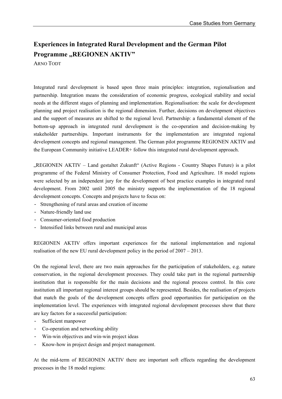# **Experiences in Integrated Rural Development and the German Pilot Programme "REGIONEN AKTIV"**

ARNO TODT

Integrated rural development is based upon three main principles: integration, regionalisation and partnership. Integration means the consideration of economic progress, ecological stability and social needs at the different stages of planning and implementation. Regionalisation: the scale for development planning and project realisation is the regional dimension. Further, decisions on development objectives and the support of measures are shifted to the regional level. Partnership: a fundamental element of the bottom-up approach in integrated rural development is the co-operation and decision-making by stakeholder partnerships. Important instruments for the implementation are integrated regional development concepts and regional management. The German pilot programme REGIONEN AKTIV and the European Community initiative LEADER+ follow this integrated rural development approach.

"REGIONEN AKTIV – Land gestaltet Zukunft" (Active Regions - Country Shapes Future) is a pilot programme of the Federal Ministry of Consumer Protection, Food and Agriculture. 18 model regions were selected by an independent jury for the development of best practice examples in integrated rural development. From 2002 until 2005 the ministry supports the implementation of the 18 regional development concepts. Concepts and projects have to focus on:

- Strengthening of rural areas and creation of income
- Nature-friendly land use
- Consumer-oriented food production
- Intensified links between rural and municipal areas

REGIONEN AKTIV offers important experiences for the national implementation and regional realisation of the new EU rural development policy in the period of 2007 – 2013.

On the regional level, there are two main approaches for the participation of stakeholders, e.g. nature conservation, in the regional development processes. They could take part in the regional partnership institution that is responsible for the main decisions and the regional process control. In this core institution all important regional interest groups should be represented. Besides, the realisation of projects that match the goals of the development concepts offers good opportunities for participation on the implementation level. The experiences with integrated regional development processes show that there are key factors for a successful participation:

- Sufficient manpower
- Co-operation and networking ability
- Win-win objectives and win-win project ideas
- Know-how in project design and project management.

At the mid-term of REGIONEN AKTIV there are important soft effects regarding the development processes in the 18 model regions: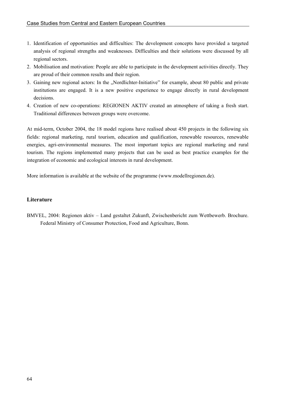- 1. Identification of opportunities and difficulties: The development concepts have provided a targeted analysis of regional strengths and weaknesses. Difficulties and their solutions were discussed by all regional sectors.
- 2. Mobilisation and motivation: People are able to participate in the development activities directly. They are proud of their common results and their region.
- 3. Gaining new regional actors: In the "Nordlichter-Initiative" for example, about 80 public and private institutions are engaged. It is a new positive experience to engage directly in rural development decisions.
- 4. Creation of new co-operations: REGIONEN AKTIV created an atmosphere of taking a fresh start. Traditional differences between groups were overcome.

At mid-term, October 2004, the 18 model regions have realised about 450 projects in the following six fields: regional marketing, rural tourism, education and qualification, renewable resources, renewable energies, agri-environmental measures. The most important topics are regional marketing and rural tourism. The regions implemented many projects that can be used as best practice examples for the integration of economic and ecological interests in rural development.

More information is available at the website of the programme (www.modellregionen.de).

### **Literature**

BMVEL, 2004: Regionen aktiv – Land gestaltet Zukunft, Zwischenbericht zum Wettbewerb. Brochure. Federal Ministry of Consumer Protection, Food and Agriculture, Bonn.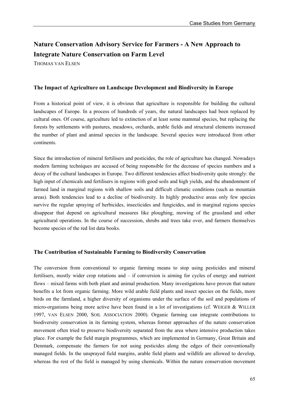# **Nature Conservation Advisory Service for Farmers - A New Approach to Integrate Nature Conservation on Farm Level**

THOMAS VAN ELSEN

#### **The Impact of Agriculture on Landscape Development and Biodiversity in Europe**

From a historical point of view, it is obvious that agriculture is responsible for building the cultural landscapes of Europe. In a process of hundreds of years, the natural landscapes had been replaced by cultural ones. Of course, agriculture led to extinction of at least some mammal species, but replacing the forests by settlements with pastures, meadows, orchards, arable fields and structural elements increased the number of plant and animal species in the landscape. Several species were introduced from other continents.

Since the introduction of mineral fertilisers and pesticides, the role of agriculture has changed. Nowadays modern farming techniques are accused of being responsible for the decrease of species numbers and a decay of the cultural landscapes in Europe. Two different tendencies affect biodiversity quite strongly: the high input of chemicals and fertilisers in regions with good soils and high yields, and the abandonment of farmed land in marginal regions with shallow soils and difficult climatic conditions (such as mountain areas). Both tendencies lead to a decline of biodiversity. In highly productive areas only few species survive the regular spraying of herbicides, insecticides and fungicides, and in marginal regions species disappear that depend on agricultural measures like ploughing, mowing of the grassland and other agricultural operations. In the course of succession, shrubs and trees take over, and farmers themselves become species of the red list data books.

#### **The Contribution of Sustainable Farming to Biodiversity Conservation**

The conversion from conventional to organic farming means to stop using pesticides and mineral fertilisers, mostly wider crop rotations and – if conversion is aiming for cycles of energy and nutrient flows – mixed farms with both plant and animal production. Many investigations have proven that nature benefits a lot from organic farming. More wild arable field plants and insect species on the fields, more birds on the farmland, a higher diversity of organisms under the surface of the soil and populations of micro-organisms being more active have been found in a lot of investigations (cf. WEIGER & WILLER 1997, VAN ELSEN 2000, SOIL ASSOCIATION 2000). Organic farming can integrate contributions to biodiversity conservation in its farming system, whereas former approaches of the nature conservation movement often tried to preserve biodiversity separated from the area where intensive production takes place. For example the field margin programmes, which are implemented in Germany, Great Britain and Denmark, compensate the farmers for not using pesticides along the edges of their conventionally managed fields. In the unsprayed field margins, arable field plants and wildlife are allowed to develop, whereas the rest of the field is managed by using chemicals. Within the nature conservation movement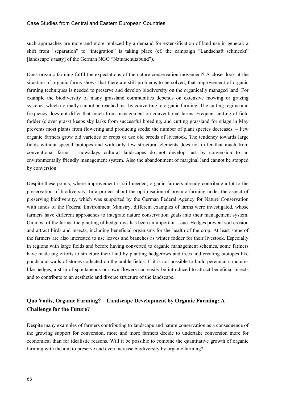such approaches are more and more replaced by a demand for extensification of land use in general: a shift from "separation" to "integration" is taking place (cf. the campaign "Landschaft schmeckt" [landscape's tasty] of the German NGO "Naturschutzbund").

Does organic farming fulfil the expectations of the nature conservation movement? A closer look at the situation of organic farms shows that there are still problems to be solved, that improvement of organic farming techniques is needed to preserve and develop biodiversity on the organically managed land. For example the biodiversity of many grassland communities depends on extensive mowing or grazing systems, which normally cannot be reached just by converting to organic farming. The cutting regime and frequency does not differ that much from management on conventional farms. Frequent cutting of field fodder (clover grass) keeps sky larks from successful breeding, and cutting grassland for silage in May prevents most plants from flowering and producing seeds; the number of plant species decreases. – Few organic farmers grow old varieties or crops or use old breeds of livestock. The tendency towards large fields without special biotopes and with only few structural elements does not differ that much from conventional farms – nowadays cultural landscapes do not develop just by conversion to an environmentally friendly management system. Also the abandonment of marginal land cannot be stopped by conversion.

Despite these points, where improvement is still needed, organic farmers already contribute a lot to the preservation of biodiversity. In a project about the optimisation of organic farming under the aspect of preserving biodiversity, which was supported by the German Federal Agency for Nature Conservation with funds of the Federal Environment Ministry, different examples of farms were investigated, whose farmers have different approaches to integrate nature conservation goals into their management system. On most of the farms, the planting of hedgerows has been an important issue. Hedges prevent soil erosion and attract birds and insects, including beneficial organisms for the health of the crop. At least some of the farmers are also interested to use leaves and branches as winter fodder for their livestock. Especially in regions with large fields and before having converted to organic management schemes, some farmers have made big efforts to structure their land by planting hedgerows and trees and creating biotopes like ponds and walls of stones collected on the arable fields. If it is not possible to build perennial structures like hedges, a strip of spontaneous or sown flowers can easily be introduced to attract beneficial insects and to contribute to an aesthetic and diverse structure of the landscape.

### **Quo Vadis, Organic Farming? – Landscape Development by Organic Farming: A Challenge for the Future?**

Despite many examples of farmers contributing to landscape and nature conservation as a consequence of the growing support for conversion, more and more farmers decide to undertake conversion more for economical than for idealistic reasons. Will it be possible to combine the quantitative growth of organic farming with the aim to preserve and even increase biodiversity by organic farming?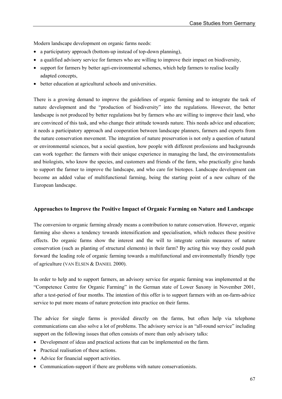Modern landscape development on organic farms needs:

- a participatory approach (bottom-up instead of top-down planning),
- a qualified advisory service for farmers who are willing to improve their impact on biodiversity,
- support for farmers by better agri-environmental schemes, which help farmers to realise locally adapted concepts,
- better education at agricultural schools and universities.

There is a growing demand to improve the guidelines of organic farming and to integrate the task of nature development and the "production of biodiversity" into the regulations. However, the better landscape is not produced by better regulations but by farmers who are willing to improve their land, who are convinced of this task, and who change their attitude towards nature. This needs advice and education; it needs a participatory approach and cooperation between landscape planners, farmers and experts from the nature conservation movement. The integration of nature preservation is not only a question of natural or environmental sciences, but a social question, how people with different professions and backgrounds can work together: the farmers with their unique experience in managing the land, the environmentalists and biologists, who know the species, and customers and friends of the farm, who practically give hands to support the farmer to improve the landscape, and who care for biotopes. Landscape development can become an added value of multifunctional farming, being the starting point of a new culture of the European landscape.

### **Approaches to Improve the Positive Impact of Organic Farming on Nature and Landscape**

The conversion to organic farming already means a contribution to nature conservation. However, organic farming also shows a tendency towards intensification and specialisation, which reduces these positive effects. Do organic farms show the interest and the will to integrate certain measures of nature conservation (such as planting of structural elements) in their farm? By acting this way they could push forward the leading role of organic farming towards a multifunctional and environmentally friendly type of agriculture (VAN ELSEN & DANIEL 2000).

In order to help and to support farmers, an advisory service for organic farming was implemented at the "Competence Centre for Organic Farming" in the German state of Lower Saxony in November 2001, after a test-period of four months. The intention of this offer is to support farmers with an on-farm-advice service to put more means of nature protection into practice on their farms.

The advice for single farms is provided directly on the farms, but often help via telephone communications can also solve a lot of problems. The advisory service is an "all-round service" including support on the following issues that often consists of more than only advisory talks:

- Development of ideas and practical actions that can be implemented on the farm.
- Practical realisation of these actions.
- Advice for financial support activities.
- Communication-support if there are problems with nature conservationists.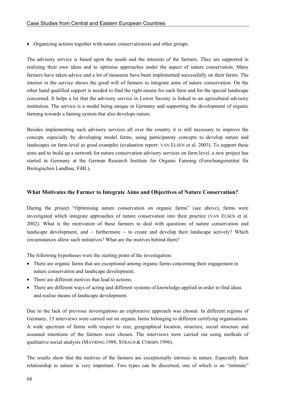• Organizing actions together with nature conservationists and other groups.

The advisory service is based upon the needs and the interests of the farmers. They are supported in realizing their own ideas and to optimise approaches under the aspect of nature conservation. Many farmers have taken advice and a lot of measures have been implemented successfully on their farms. The interest in the service shows the good will of farmers to integrate aims of nature conservation. On the other hand qualified support is needed to find the right means for each farm and for the special landscape concerned. It helps a lot that the advisory service in Lower Saxony is linked to an agricultural advisory institution. The service is a model being unique in Germany and supporting the development of organic farming towards a faming system that also develops nature.

Besides implementing such advisory services all over the country it is still necessary to improve the concept, especially by developing model farms, using participatory concepts to develop nature and landscapes on farm level as good examples (evaluation report: VAN ELSEN et al. 2003). To support these aims and to build up a network for nature conservation advisory services on farm level, a new project has started in Germany at the German Research Institute for Organic Farming (Forschungsinstitut für Biologischen Landbau, FiBL).

#### **What Motivates the Farmer to Integrate Aims and Objectives of Nature Conservation?**

During the project "Optimising nature conservation on organic farms" (see above), farms were investigated which integrate approaches of nature conservation into their practice (VAN ELSEN et al. 2002). What is the motivation of these farmers to deal with questions of nature conservation and landscape development, and − furthermore − to create and develop their landscape actively? Which circumstances allow such initiatives? What are the motives behind them?

The following hypotheses were the starting point of the investigation:

- There are organic farms that are exceptional among organic farms concerning their engagement in nature conservation and landscape development.
- There are different motives that lead to actions.
- There are different ways of acting and different systems of knowledge applied in order to find ideas and realise means of landscape development.

Due to the lack of previous investigations an explorative approach was chosen. In different regions of Germany, 13 interviews were carried out on organic farms belonging to different certifying organisations. A wide spectrum of farms with respect to size, geographical location, structure, social structure and assumed intentions of the farmers were chosen. The interviews were carried out using methods of qualitative social analysis (MAYRING 1988, STRAUß & CORBIN 1996).

The results show that the motives of the farmers are exceptionally intrinsic in nature. Especially their relationship to nature is very important. Two types can be discerned, one of which is an "intimate"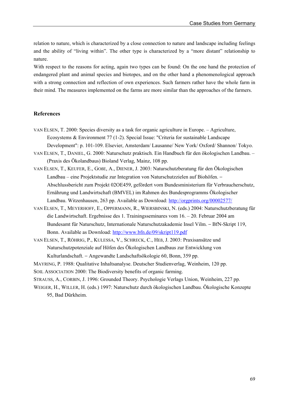relation to nature, which is characterized by a close connection to nature and landscape including feelings and the ability of "living within". The other type is characterized by a "more distant" relationship to nature.

With respect to the reasons for acting, again two types can be found: On the one hand the protection of endangered plant and animal species and biotopes, and on the other hand a phenomenological approach with a strong connection and reflection of own experiences. Such farmers rather have the whole farm in their mind. The measures implemented on the farms are more similar than the approaches of the farmers.

#### **References**

- VAN ELSEN, T. 2000: Species diversity as a task for organic agriculture in Europe. Agriculture, Ecosystems & Environment 77 (1-2). Special Issue: "Criteria for sustainable Landscape Development": p. 101-109. Elsevier, Amsterdam/ Lausanne/ New York/ Oxford/ Shannon/ Tokyo.
- VAN ELSEN, T., DANIEL, G. 2000: Naturschutz praktisch. Ein Handbuch für den ökologischen Landbau. (Praxis des Ökolandbaus) Bioland Verlag, Mainz, 108 pp.
- VAN ELSEN, T., KEUFER, E., GOßE, A., DIENER, J. 2003: Naturschutzberatung für den Ökologischen Landbau – eine Projektstudie zur Integration von Naturschutzzielen auf Biohöfen. − Abschlussbericht zum Projekt 02OE459, gefördert vom Bundesministerium für Verbraucherschutz, Ernährung und Landwirtschaft (BMVEL) im Rahmen des Bundesprogramms Ökologischer Landbau. Witzenhausen, 263 pp. Available as Download: http://orgprints.org/00002577/
- VAN ELSEN, T., MEYERHOFF, E., OPPERMANN, R., WIERSBINSKI, N. (eds.) 2004: Naturschutzberatung für die Landwirtschaft. Ergebnisse des 1. Trainingsseminares vom 16. – 20. Februar 2004 am Bundesamt für Naturschutz, Internationale Naturschutzakademie Insel Vilm. − BfN-Skript 119, Bonn. Available as Download: http://www.bfn.de/09/skript119.pdf
- VAN ELSEN, T., RÖHRIG, P., KULESSA, V., SCHRECK, C., HEß, J. 2003: Praxisansätze und Naturschutzpotenziale auf Höfen des Ökologischen Landbaus zur Entwicklung von Kulturlandschaft. − Angewandte Landschaftsökologie 60, Bonn, 359 pp.
- MAYRING, P. 1988: Qualitative Inhaltsanalyse. Deutscher Studienverlag, Weinheim, 120 pp.
- SOIL ASSOCIATION 2000: The Biodiversity benefits of organic farming.
- STRAUSS, A., CORBIN, J. 1996: Grounded Theory. Psychologie Verlags Union, Weinheim, 227 pp.
- WEIGER, H., WILLER, H. (eds.) 1997: Naturschutz durch ökologischen Landbau. Ökologische Konzepte 95, Bad Dürkheim.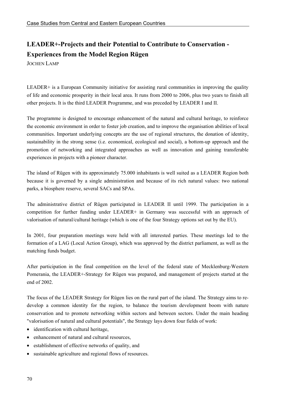# **LEADER+-Projects and their Potential to Contribute to Conservation - Experiences from the Model Region Rügen**

JOCHEN LAMP

LEADER+ is a European Community initiative for assisting rural communities in improving the quality of life and economic prosperity in their local area. It runs from 2000 to 2006, plus two years to finish all other projects. It is the third LEADER Programme, and was preceded by LEADER I and II.

The programme is designed to encourage enhancement of the natural and cultural heritage, to reinforce the economic environment in order to foster job creation, and to improve the organisation abilities of local communities. Important underlying concepts are the use of regional structures, the donation of identity, sustainability in the strong sense (i.e. economical, ecological and social), a bottom-up approach and the promotion of networking and integrated approaches as well as innovation and gaining transferable experiences in projects with a pioneer character.

The island of Rügen with its approximately 75.000 inhabitants is well suited as a LEADER Region both because it is governed by a single administration and because of its rich natural values: two national parks, a biosphere reserve, several SACs and SPAs.

The administrative district of Rügen participated in LEADER II until 1999. The participation in a competition for further funding under LEADER+ in Germany was successful with an approach of valorisation of natural/cultural heritage (which is one of the four Strategy options set out by the EU).

In 2001, four preparation meetings were held with all interested parties. These meetings led to the formation of a LAG (Local Action Group), which was approved by the district parliament, as well as the matching funds budget.

After participation in the final competition on the level of the federal state of Mecklenburg-Western Pomerania, the LEADER+-Strategy for Rügen was prepared, and management of projects started at the end of 2002.

The focus of the LEADER Strategy for Rügen lies on the rural part of the island. The Strategy aims to redevelop a common identity for the region, to balance the tourism development boom with nature conservation and to promote networking within sectors and between sectors. Under the main heading "valorisation of natural and cultural potentials", the Strategy lays down four fields of work:

- identification with cultural heritage,
- enhancement of natural and cultural resources,
- establishment of effective networks of quality, and
- sustainable agriculture and regional flows of resources.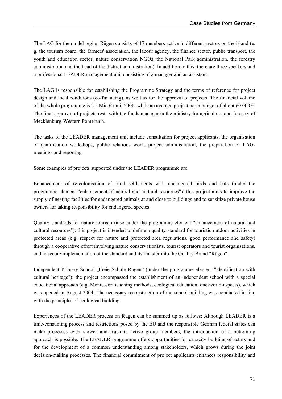The LAG for the model region Rügen consists of 17 members active in different sectors on the island (e. g. the tourism board, the farmers' association, the labour agency, the finance sector, public transport, the youth and education sector, nature conservation NGOs, the National Park administration, the forestry administration and the head of the district administration). In addition to this, there are three speakers and a professional LEADER management unit consisting of a manager and an assistant.

The LAG is responsible for establishing the Programme Strategy and the terms of reference for project design and local conditions (co-financing), as well as for the approval of projects. The financial volume of the whole programme is 2.5 Mio  $\epsilon$  until 2006, while an average project has a budget of about 60.000  $\epsilon$ . The final approval of projects rests with the funds manager in the ministry for agriculture and forestry of Mecklenburg-Western Pomerania.

The tasks of the LEADER management unit include consultation for project applicants, the organisation of qualification workshops, public relations work, project administration, the preparation of LAGmeetings and reporting.

Some examples of projects supported under the LEADER programme are:

Enhancement of re-colonisation of rural settlements with endangered birds and bats (under the programme element "enhancement of natural and cultural resources"): this project aims to improve the supply of nesting facilities for endangered animals at and close to buildings and to sensitize private house owners for taking responsibility for endangered species.

Quality standards for nature tourism (also under the programme element "enhancement of natural and cultural resources"): this project is intended to define a quality standard for touristic outdoor activities in protected areas (e.g. respect for nature and protected area regulations, good performance and safety) through a cooperative effort involving nature conservationists, tourist operators and tourist organisations, and to secure implementation of the standard and its transfer into the Quality Brand "Rügen".

Independent Primary School "Freie Schule Rügen" (under the programme element "identification with cultural heritage"): the project encompassed the establishment of an independent school with a special educational approach (e.g. Montessori teaching methods, ecological education, one-world-aspects), which was opened in August 2004. The necessary reconstruction of the school building was conducted in line with the principles of ecological building.

Experiences of the LEADER process on Rügen can be summed up as follows: Although LEADER is a time-consuming process and restrictions posed by the EU and the responsible German federal states can make processes even slower and frustrate active group members, the introduction of a bottom-up approach is possible. The LEADER programme offers opportunities for capacity-building of actors and for the development of a common understanding among stakeholders, which grows during the joint decision-making processes. The financial commitment of project applicants enhances responsibility and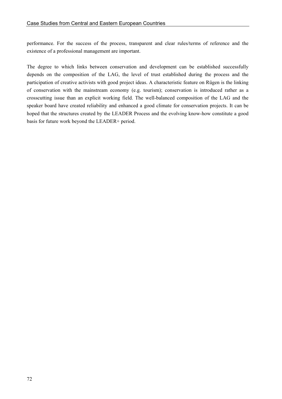performance. For the success of the process, transparent and clear rules/terms of reference and the existence of a professional management are important.

The degree to which links between conservation and development can be established successfully depends on the composition of the LAG, the level of trust established during the process and the participation of creative activists with good project ideas. A characteristic feature on Rügen is the linking of conservation with the mainstream economy (e.g. tourism); conservation is introduced rather as a crosscutting issue than an explicit working field. The well-balanced composition of the LAG and the speaker board have created reliability and enhanced a good climate for conservation projects. It can be hoped that the structures created by the LEADER Process and the evolving know-how constitute a good basis for future work beyond the LEADER+ period.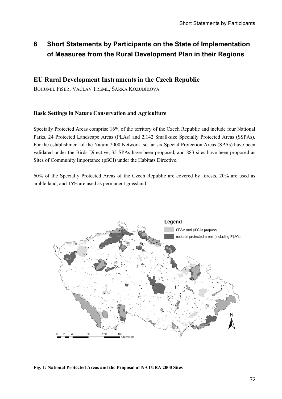# **6 Short Statements by Participants on the State of Implementation of Measures from the Rural Development Plan in their Regions**

# **EU Rural Development Instruments in the Czech Republic**

BOHUMIL FIŠER, VACLAV TREML, ŠÁRKA KOZUBÍKOVÁ

# **Basic Settings in Nature Conservation and Agriculture**

Specially Protected Areas comprise 16% of the territory of the Czech Republic and include four National Parks, 24 Protected Landscape Areas (PLAs) and 2,142 Small-size Specially Protected Areas (SSPAs). For the establishment of the Natura 2000 Network, so far six Special Protection Areas (SPAs) have been validated under the Birds Directive, 35 SPAs have been proposed, and 883 sites have been proposed as Sites of Community Importance (pSCI) under the Habitats Directive.

60% of the Specially Protected Areas of the Czech Republic are covered by forests, 20% are used as arable land, and 15% are used as permanent grassland.



### **Fig. 1: National Protected Areas and the Proposal of NATURA 2000 Sites**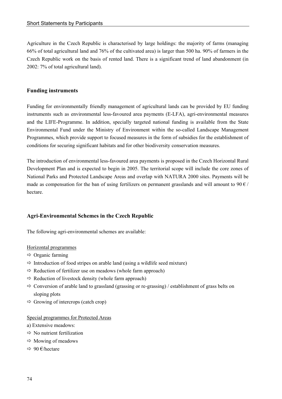Agriculture in the Czech Republic is characterised by large holdings: the majority of farms (managing 66% of total agricultural land and 76% of the cultivated area) is larger than 500 ha. 90% of farmers in the Czech Republic work on the basis of rented land. There is a significant trend of land abandonment (in 2002: 7% of total agricultural land).

### **Funding instruments**

Funding for environmentally friendly management of agricultural lands can be provided by EU funding instruments such as environmental less-favoured area payments (E-LFA), agri-environmental measures and the LIFE-Programme. In addition, specially targeted national funding is available from the State Environmental Fund under the Ministry of Environment within the so-called Landscape Management Programmes, which provide support to focused measures in the form of subsidies for the establishment of conditions for securing significant habitats and for other biodiversity conservation measures.

The introduction of environmental less-favoured area payments is proposed in the Czech Horizontal Rural Development Plan and is expected to begin in 2005. The territorial scope will include the core zones of National Parks and Protected Landscape Areas and overlap with NATURA 2000 sites. Payments will be made as compensation for the ban of using fertilizers on permanent grasslands and will amount to  $90 \in \ell$ hectare.

## **Agri-Environmental Schemes in the Czech Republic**

The following agri-environmental schemes are available:

### Horizontal programmes

- $\Rightarrow$  Organic farming
- $\Rightarrow$  Introduction of food stripes on arable land (using a wildlife seed mixture)
- $\Rightarrow$  Reduction of fertilizer use on meadows (whole farm approach)
- $\Rightarrow$  Reduction of livestock density (whole farm approach)
- $\Rightarrow$  Conversion of arable land to grassland (grassing or re-grassing) / establishment of grass belts on sloping plots
- $\Rightarrow$  Growing of intercrops (catch crop)

### Special programmes for Protected Areas

- a) Extensive meadows:
- $\Rightarrow$  No nutrient fertilization
- $\Rightarrow$  Mowing of meadows
- $\Rightarrow$  90  $\epsilon$ /hectare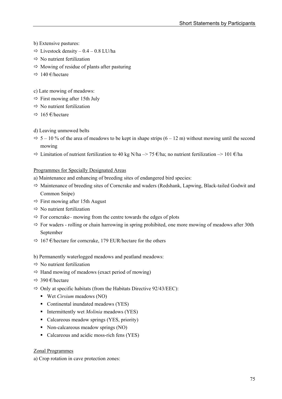- b) Extensive pastures:
- $\Rightarrow$  Livestock density 0.4 0.8 LU/ha
- $\Rightarrow$  No nutrient fertilization
- $\Rightarrow$  Mowing of residue of plants after pasturing
- $\Rightarrow$  140 €/hectare
- c) Late mowing of meadows:
- $\Rightarrow$  First mowing after 15th July
- $\Rightarrow$  No nutrient fertilization
- $\Rightarrow$  165 €/hectare
- d) Leaving unmowed belts
- $\Rightarrow$  5 10 % of the area of meadows to be kept in shape strips (6 12 m) without mowing until the second mowing
- $\Rightarrow$  Limitation of nutrient fertilization to 40 kg N/ha –> 75 €/ha; no nutrient fertilization –> 101 €/ha

### Programmes for Specially Designated Areas

- a) Maintenance and enhancing of breeding sites of endangered bird species:
- $\Rightarrow$  Maintenance of breeding sites of Corncrake and waders (Redshank, Lapwing, Black-tailed Godwit and Common Snipe)
- $\Rightarrow$  First mowing after 15th August
- $\Rightarrow$  No nutrient fertilization
- $\Rightarrow$  For corncrake– mowing from the centre towards the edges of plots
- $\Rightarrow$  For waders rolling or chain harrowing in spring prohibited, one more mowing of meadows after 30th September
- $\Rightarrow$  167 €/hectare for corncrake, 179 EUR/hectare for the others
- b) Permanently waterlogged meadows and peatland meadows:
- $\Rightarrow$  No nutrient fertilization
- $\Rightarrow$  Hand mowing of meadows (exact period of mowing)
- $\Rightarrow$  390 €/hectare
- $\Rightarrow$  Only at specific habitats (from the Habitats Directive 92/43/EEC):
	- Wet *Cirsium* meadows (NO)
	- Continental inundated meadows (YES)
	- Intermittently wet *Molinia* meadows (YES)
	- Calcareous meadow springs (YES, priority)
	- Non-calcareous meadow springs (NO)
	- Calcareous and acidic moss-rich fens (YES)

### Zonal Programmes

a) Crop rotation in cave protection zones: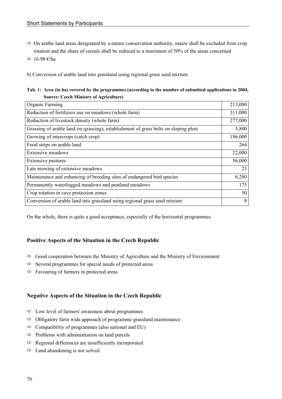- $\Rightarrow$  On arable land areas designated by a nature conservation authority, maize shall be excluded from crop rotation and the share of cereals shall be reduced to a maximum of 50% of the areas concerned
- $\Rightarrow$  16.98 €/ha

b) Conversion of arable land into grassland using regional grass seed mixture

|                                               | Tab. 1: Area (in ha) covered by the programmes (according to the number of submitted applications in 2004, |
|-----------------------------------------------|------------------------------------------------------------------------------------------------------------|
| <b>Source: Czech Ministry of Agriculture)</b> |                                                                                                            |

| Organic Farming                                                                      | 213,000 |
|--------------------------------------------------------------------------------------|---------|
| Reduction of fertilizers use on meadows (whole farm)                                 | 311,000 |
| Reduction of livestock density (whole farm)                                          | 277,000 |
| Grassing of arable land (re-grassing), establishment of grass belts on sloping plots | 5,800   |
| Growing of intercrops (catch crop)                                                   | 196,000 |
| Food strips on arable land                                                           | 264     |
| <b>Extensive meadows</b>                                                             | 22,000  |
| Extensive pastures                                                                   | 56,000  |
| Late mowing of extensive meadows                                                     | 23      |
| Maintenance and enhancing of breeding sites of endangered bird species               | 6,280   |
| Permanently waterlogged meadows and peatland meadows                                 | 175     |
| Crop rotation in cave protection zones                                               | 50      |
| Conversion of arable land into grassland using regional grass seed mixture           | 8       |

On the whole, there is quite a good acceptance, especially of the horizontal programmes.

## **Positive Aspects of the Situation in the Czech Republic**

- $\Rightarrow$  Good cooperation between the Ministry of Agriculture and the Ministry of Environment
- $\Rightarrow$  Several programmes for special needs of protected areas
- $\Rightarrow$  Favouring of farmers in protected areas

## **Negative Aspects of the Situation in the Czech Republic**

- $\Rightarrow$  Low level of farmers' awareness about programmes
- $\Rightarrow$  Obligatory farm wide approach of programme grassland maintenance
- $\Rightarrow$  Compatibility of programmes (also national and EU)
- $\Rightarrow$  Problems with administration on land parcels
- $\Rightarrow$  Regional differences are insufficiently incorporated
- $\Rightarrow$  Land abandoning is not solved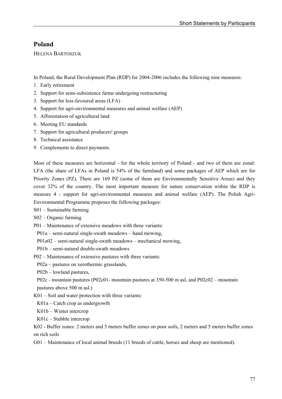# **Poland**

HELENA BARTOSZUK

In Poland, the Rural Development Plan (RDP) for 2004-2006 includes the following nine measures:

- 1. Early retirement
- 2. Support for semi-subsistence farms undergoing restructuring
- 3. Support for less-favoured areas (LFA)
- 4. Support for agri-environmental measures and animal welfare (AEP)
- 5. Afforestation of agricultural land
- 6. Meeting EU standards
- 7. Support for agricultural producers' groups
- 8. Technical assistance
- 9. Complements to direct payments.

Most of these measures are horizontal - for the whole territory of Poland - and two of them are zonal: LFA (the share of LFAs in Poland is 54% of the farmland) and some packages of AEP which are for Priority Zones (PZ). There are 169 PZ (some of them are Environmentally Sensitive Areas) and they cover 32% of the country. The most important measure for nature conservation within the RDP is measure 4 - support for agri-environmental measures and animal welfare (AEP). The Polish Agri-Environmental Programme proposes the following packages:

S01 – Sustainable farming

S02 – Organic farming

P01 – Maintenance of extensive meadows with three variants:

P01a – semi-natural single-swath meadows – hand mowing,

P01a02 – semi-natural single-swath meadows – mechanical mowing,

- P01b semi-natural double-swath meadows
- P02 Maintenance of extensive pastures with three variants:

P02a – pastures on xerothermic grasslands,

P02b – lowland pastures,

P02c - mountain pastures (P02c01- mountain pastures at 350-500 m asl, and P02c02 – mountain pastures above 500 m asl.)

K01 – Soil and water protection with three variants:

K01a – Catch crop as undergrowth

K01b – Winter intercrop

K01c – Stubble intercrop

K02 - Buffer zones: 2 meters and 5 meters buffer zones on poor soils, 2 meters and 5 meters buffer zones on rich soils

G01 – Maintenance of local animal breeds (11 breeds of cattle, horses and sheep are mentioned).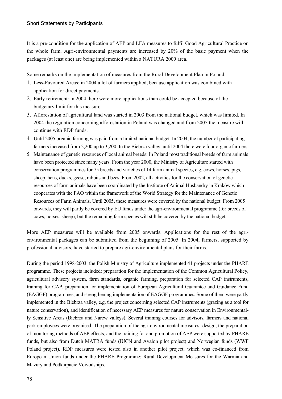It is a pre-condition for the application of AEP and LFA measures to fulfil Good Agricultural Practice on the whole farm. Agri-environmental payments are increased by 20% of the basic payment when the packages (at least one) are being implemented within a NATURA 2000 area.

Some remarks on the implementation of measures from the Rural Development Plan in Poland:

- 1. Less-Favoured Areas: in 2004 a lot of farmers applied, because application was combined with application for direct payments.
- 2. Early retirement: in 2004 there were more applications than could be accepted because of the budgetary limit for this measure.
- 3. Afforestation of agricultural land was started in 2003 from the national budget, which was limited. In 2004 the regulation concerning afforestation in Poland was changed and from 2005 the measure will continue with RDP funds.
- 4. Until 2005 organic farming was paid from a limited national budget. In 2004, the number of participating farmers increased from 2,200 up to 3,200. In the Biebrza valley, until 2004 there were four organic farmers.
- 5. Maintenance of genetic resources of local animal breeds: In Poland most traditional breeds of farm animals have been protected since many years. From the year 2000, the Ministry of Agriculture started with conservation programmes for 75 breeds and varieties of 14 farm animal species, e.g. cows, horses, pigs, sheep, hens, ducks, geese, rabbits and bees. From 2002, all activities for the conservation of genetic resources of farm animals have been coordinated by the Institute of Animal Husbandry in Kraków which cooperates with the FAO within the framework of the World Strategy for the Maintenance of Genetic Resources of Farm Animals. Until 2005, these measures were covered by the national budget. From 2005 onwards, they will partly be covered by EU funds under the agri-environmental programme (for breeds of cows, horses, sheep), but the remaining farm species will still be covered by the national budget.

More AEP measures will be available from 2005 onwards. Applications for the rest of the agrienvironmental packages can be submitted from the beginning of 2005. In 2004, farmers, supported by professional advisors, have started to prepare agri-environmental plans for their farms.

During the period 1998-2003, the Polish Ministry of Agriculture implemented 41 projects under the PHARE programme. These projects included: preparation for the implementation of the Common Agricultural Policy, agricultural advisory system, farm standards, organic farming, preparation for selected CAP instruments, training for CAP, preparation for implementation of European Agricultural Guarantee and Guidance Fund (EAGGF) programmes, and strengthening implementation of EAGGF programmes. Some of them were partly implemented in the Biebrza valley, e.g. the project concerning selected CAP instruments (grazing as a tool for nature conservation), and identification of necessary AEP measures for nature conservation in Environmentally Sensitive Areas (Biebrza and Narew valleys). Several training courses for advisors, farmers and national park employees were organised. The preparation of the agri-environmental measures' design, the preparation of monitoring methods of AEP effects, and the training for and promotion of AEP were supported by PHARE funds, but also from Dutch MATRA funds (IUCN and Avalon pilot project) and Norwegian funds (WWF Poland project). RDP measures were tested also in another pilot project, which was co-financed from European Union funds under the PHARE Programme: Rural Development Measures for the Warmia and Mazury and Podkarpacie Voivodships.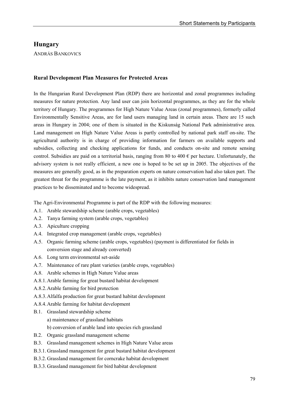# **Hungary**

ANDRÁS BANKOVICS

### **Rural Development Plan Measures for Protected Areas**

In the Hungarian Rural Development Plan (RDP) there are horizontal and zonal programmes including measures for nature protection. Any land user can join horizontal programmes, as they are for the whole territory of Hungary. The programmes for High Nature Value Areas (zonal programmes), formerly called Environmentally Sensitive Areas, are for land users managing land in certain areas. There are 15 such areas in Hungary in 2004; one of them is situated in the Kiskunság National Park administrative area. Land management on High Nature Value Areas is partly controlled by national park staff on-site. The agricultural authority is in charge of providing information for farmers on available supports and subsidies, collecting and checking applications for funds, and conducts on-site and remote sensing control. Subsidies are paid on a territorial basis, ranging from 80 to 400  $\epsilon$  per hectare. Unfortunately, the advisory system is not really efficient, a new one is hoped to be set up in 2005. The objectives of the measures are generally good, as in the preparation experts on nature conservation had also taken part. The greatest threat for the programme is the late payment, as it inhibits nature conservation land management practices to be disseminated and to become widespread.

The Agri-Environmental Programme is part of the RDP with the following measures:

- A.1. Arable stewardship scheme (arable crops, vegetables)
- A.2. Tanya farming system (arable crops, vegetables)
- A.3. Apiculture cropping
- A.4. Integrated crop management (arable crops, vegetables)
- A.5. Organic farming scheme (arable crops, vegetables) (payment is differentiated for fields in conversion stage and already converted)
- A.6. Long term environmental set-aside
- A.7. Maintenance of rare plant varieties (arable crops, vegetables)
- A.8. Arable schemes in High Nature Value areas
- A.8.1. Arable farming for great bustard habitat development
- A.8.2. Arable farming for bird protection
- A.8.3. Alfalfa production for great bustard habitat development
- A.8.4. Arable farming for habitat development
- B.1. Grassland stewardship scheme a) maintenance of grassland habitats b) conversion of arable land into species rich grassland
- B.2. Organic grassland management scheme
- B.3. Grassland management schemes in High Nature Value areas
- B.3.1. Grassland management for great bustard habitat development
- B.3.2. Grassland management for corncrake habitat development
- B.3.3. Grassland management for bird habitat development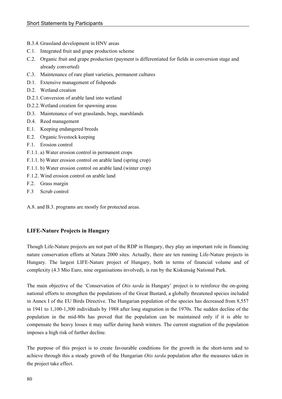- B.3.4. Grassland development in HNV areas
- C.1. Integrated fruit and grape production scheme
- C.2. Organic fruit and grape production (payment is differentiated for fields in conversion stage and already converted)
- C.3. Maintenance of rare plant varieties, permanent cultures
- D.1. Extensive management of fishponds
- D.2. Wetland creation
- D.2.1. Conversion of arable land into wetland
- D.2.2. Wetland creation for spawning areas
- D.3. Maintenance of wet grasslands, bogs, marshlands
- D.4. Reed management
- E.1. Keeping endangered breeds
- E.2. Organic livestock keeping
- F.1. Erosion control
- F.1.1. a) Water erosion control in permanent crops
- F.1.1. b) Water erosion control on arable land (spring crop)
- F.1.1. b) Water erosion control on arable land (winter crop)
- F.1.2. Wind erosion control on arable land
- F.2. Grass margin
- F.3 Scrub control

A.8. and B.3. programs are mostly for protected areas.

### **LIFE-Nature Projects in Hungary**

Though Life-Nature projects are not part of the RDP in Hungary, they play an important role in financing nature conservation efforts at Natura 2000 sites. Actually, there are ten running Life-Nature projects in Hungary. The largest LIFE-Nature project of Hungary, both in terms of financial volume and of complexity (4.3 Mio Euro, nine organisations involved), is run by the Kiskunság National Park.

The main objective of the 'Conservation of *Otis tarda* in Hungary' project is to reinforce the on-going national efforts to strengthen the populations of the Great Bustard, a globally threatened species included in Annex I of the EU Birds Directive. The Hungarian population of the species has decreased from 8,557 in 1941 to 1,100-1,300 individuals by 1988 after long stagnation in the 1970s. The sudden decline of the population in the mid-80s has proved that the population can be maintained only if it is able to compensate the heavy losses it may suffer during harsh winters. The current stagnation of the population imposes a high risk of further decline.

The purpose of this project is to create favourable conditions for the growth in the short-term and to achieve through this a steady growth of the Hungarian *Otis tarda* population after the measures taken in the project take effect.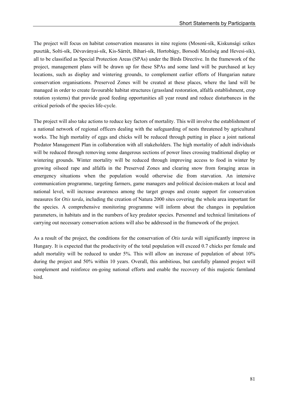The project will focus on habitat conservation measures in nine regions (Mosoni-sík, Kiskunsági szikes puszták, Solti-sík, Dévaványai-sík, Kis-Sárrét, Bihari-sík, Hortobágy, Borsodi Mezőség and Hevesi-sík), all to be classified as Special Protection Areas (SPAs) under the Birds Directive. In the framework of the project, management plans will be drawn up for these SPAs and some land will be purchased at key locations, such as display and wintering grounds, to complement earlier efforts of Hungarian nature conservation organisations. Preserved Zones will be created at these places, where the land will be managed in order to create favourable habitat structures (grassland restoration, alfalfa establishment, crop rotation systems) that provide good feeding opportunities all year round and reduce disturbances in the critical periods of the species life-cycle.

The project will also take actions to reduce key factors of mortality. This will involve the establishment of a national network of regional officers dealing with the safeguarding of nests threatened by agricultural works. The high mortality of eggs and chicks will be reduced through putting in place a joint national Predator Management Plan in collaboration with all stakeholders. The high mortality of adult individuals will be reduced through removing some dangerous sections of power lines crossing traditional display or wintering grounds. Winter mortality will be reduced through improving access to food in winter by growing oilseed rape and alfalfa in the Preserved Zones and clearing snow from foraging areas in emergency situations when the population would otherwise die from starvation. An intensive communication programme, targeting farmers, game managers and political decision-makers at local and national level, will increase awareness among the target groups and create support for conservation measures for *Otis tarda*, including the creation of Natura 2000 sites covering the whole area important for the species. A comprehensive monitoring programme will inform about the changes in population parameters, in habitats and in the numbers of key predator species. Personnel and technical limitations of carrying out necessary conservation actions will also be addressed in the framework of the project.

As a result of the project, the conditions for the conservation of *Otis tarda* will significantly improve in Hungary. It is expected that the productivity of the total population will exceed 0.7 chicks per female and adult mortality will be reduced to under 5%. This will allow an increase of population of about 10% during the project and 50% within 10 years. Overall, this ambitious, but carefully planned project will complement and reinforce on-going national efforts and enable the recovery of this majestic farmland bird.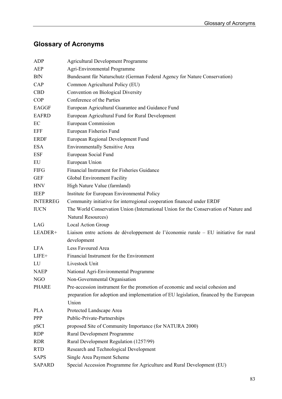# **Glossary of Acronyms**

| <b>ADP</b>      | <b>Agricultural Development Programme</b>                                               |
|-----------------|-----------------------------------------------------------------------------------------|
| AEP             | Agri-Environmental Programme                                                            |
| <b>BfN</b>      | Bundesamt für Naturschutz (German Federal Agency for Nature Conservation)               |
| CAP             | Common Agricultural Policy (EU)                                                         |
| <b>CBD</b>      | Convention on Biological Diversity                                                      |
| <b>COP</b>      | Conference of the Parties                                                               |
| <b>EAGGF</b>    | European Agricultural Guarantee and Guidance Fund                                       |
| <b>EAFRD</b>    | European Agricultural Fund for Rural Development                                        |
| EC              | <b>European Commission</b>                                                              |
| EFF             | European Fisheries Fund                                                                 |
| <b>ERDF</b>     | European Regional Development Fund                                                      |
| <b>ESA</b>      | <b>Environmentally Sensitive Area</b>                                                   |
| <b>ESF</b>      | European Social Fund                                                                    |
| EU              | European Union                                                                          |
| <b>FIFG</b>     | Financial Instrument for Fisheries Guidance                                             |
| <b>GEF</b>      | Global Environment Facility                                                             |
| <b>HNV</b>      | High Nature Value (farmland)                                                            |
| <b>IEEP</b>     | Institute for European Environmental Policy                                             |
| <b>INTERREG</b> | Community initiative for interregional cooperation financed under ERDF                  |
| <b>IUCN</b>     | The World Conservation Union (International Union for the Conservation of Nature and    |
|                 | Natural Resources)                                                                      |
| LAG             | Local Action Group                                                                      |
| LEADER+         | Liaison entre actions de développement de l'économie rurale – EU initiative for rural   |
|                 | development                                                                             |
| <b>LFA</b>      | Less Favoured Area                                                                      |
| $LIFE+$         | Financial Instrument for the Environment                                                |
| LU              | Livestock Unit                                                                          |
| <b>NAEP</b>     | National Agri-Environmental Programme                                                   |
| NGO             | Non-Governmental Organisation                                                           |
| <b>PHARE</b>    | Pre-accession instrument for the promotion of economic and social cohesion and          |
|                 | preparation for adoption and implementation of EU legislation, financed by the European |
|                 | Union                                                                                   |
| <b>PLA</b>      | Protected Landscape Area                                                                |
| <b>PPP</b>      | Public-Private-Partnerships                                                             |
| pSCI            | proposed Site of Community Importance (for NATURA 2000)                                 |
| <b>RDP</b>      | Rural Development Programme                                                             |
| <b>RDR</b>      | Rural Development Regulation (1257/99)                                                  |
| <b>RTD</b>      | Research and Technological Development                                                  |
| <b>SAPS</b>     | Single Area Payment Scheme                                                              |
| <b>SAPARD</b>   | Special Accession Programme for Agriculture and Rural Development (EU)                  |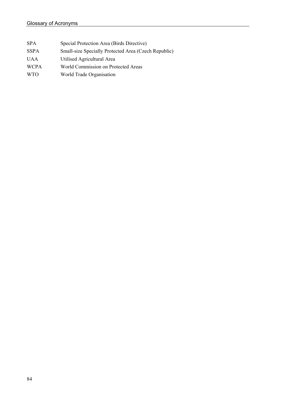| <b>SPA</b>  | Special Protection Area (Birds Directive)            |
|-------------|------------------------------------------------------|
| <b>SSPA</b> | Small-size Specially Protected Area (Czech Republic) |
| <b>UAA</b>  | Utilised Agricultural Area                           |
| <b>WCPA</b> | World Commission on Protected Areas                  |
| <b>WTO</b>  | World Trade Organisation                             |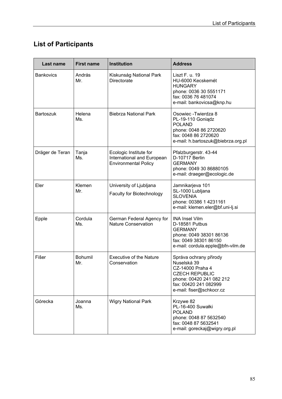# **List of Participants**

| Last name        | <b>First name</b>     | <b>Institution</b>                                                                  | <b>Address</b>                                                                                                                                                      |
|------------------|-----------------------|-------------------------------------------------------------------------------------|---------------------------------------------------------------------------------------------------------------------------------------------------------------------|
| <b>Bankovics</b> | András<br>Mr.         | Kiskunság National Park<br>Directorate                                              | Liszt F. u. 19<br>HU-6000 Kecskemét<br><b>HUNGARY</b><br>phone: 0036 30 5551171<br>fax: 0036 76 481074<br>e-mail: bankovicsa@knp.hu                                 |
| <b>Bartoszuk</b> | Helena<br>Ms.         | <b>Biebrza National Park</b>                                                        | Osowiec - Twierdza 8<br>PL-19-110 Goniądz<br><b>POLAND</b><br>phone: 0048 86 2720620<br>fax: 0048 86 2720620<br>e-mail: h.bartoszuk@biebrza.org.pl                  |
| Dräger de Teran  | Tanja<br>Ms.          | Ecologic Institute for<br>International and European<br><b>Environmental Policy</b> | Pfalzburgerstr. 43-44<br>D-10717 Berlin<br><b>GERMANY</b><br>phone: 0049 30 86880105<br>e-mail: draeger@ecologic.de                                                 |
| Eler             | Klemen<br>Mr.         | University of Ljubljana<br>Faculty for Biotechnology                                | Jamnikarjeva 101<br>SL-1000 Lubljana<br><b>SLOVENIA</b><br>phone: 00386 1 4231161<br>e-mail: klemen.eler@bf.uni-lj.si                                               |
| Epple            | Cordula<br>Ms.        | German Federal Agency for<br><b>Nature Conservation</b>                             | <b>INA Insel Vilm</b><br>D-18581 Putbus<br><b>GERMANY</b><br>phone: 0049 38301 86136<br>fax: 0049 38301 86150<br>e-mail: cordula.epple@bfn-vilm.de                  |
| Fišer            | <b>Bohumil</b><br>Mr. | <b>Executive of the Nature</b><br>Conservation                                      | Správa ochrany přirody<br>Nuselská 39<br>CZ-14000 Praha 4<br><b>CZECH REPUBLIC</b><br>phone: 00420 241 082 212<br>fax: 00420 241 082999<br>e-mail: fiser@schkocr.cz |
| Górecka          | Joanna<br>Ms.         | <b>Wigry National Park</b>                                                          | Krzywe 82<br>PL-16-400 Suwałki<br><b>POLAND</b><br>phone: 0048 87 5632540<br>fax: 0048 87 5632541<br>e-mail: goreckaj@wigry.org.pl                                  |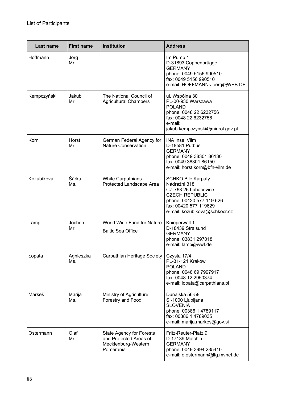| Last name   | <b>First name</b> | <b>Institution</b>                                                                            | <b>Address</b>                                                                                                                                                                   |
|-------------|-------------------|-----------------------------------------------------------------------------------------------|----------------------------------------------------------------------------------------------------------------------------------------------------------------------------------|
| Hoffmann    | Jörg<br>Mr.       |                                                                                               | Im Pump 1<br>D-31893 Coppenbrügge<br><b>GERMANY</b><br>phone: 0049 5156 990510<br>fax: 0049 5156 990510<br>e-mail: HOFFMANN-Joerg@WEB.DE                                         |
| Kempczyňski | Jakub<br>Mr.      | The National Council of<br><b>Agricultural Chambers</b>                                       | ul. Wspólna 30<br>PL-00-930 Warszawa<br><b>POLAND</b><br>phone: 0048 22 6232756<br>fax: 0048 22 6232756<br>e-mail:<br>jakub.kempczynski@minrol.gov.pl                            |
| Korn        | Horst<br>Mr.      | German Federal Agency for<br><b>Nature Conservation</b>                                       | <b>INA Insel Vilm</b><br>D-18581 Putbus<br><b>GERMANY</b><br>phone: 0049 38301 86130<br>fax: 0049 38301 86150<br>e-mail: horst.korn@bfn-vilm.de                                  |
| Kozubíková  | Šárka<br>Ms.      | <b>White Carpathians</b><br>Protected Landscape Area                                          | <b>SCHKO Bile Karpaty</b><br>Nádražni 318<br>CZ-763 26 Luhacovice<br><b>CZECH REPUBLIC</b><br>phone: 00420 577 119 626<br>fax: 00420 577 119629<br>e-mail: kozubikova@schkocr.cz |
| Lamp        | Jochen<br>Mr.     | World Wide Fund for Nature<br><b>Baltic Sea Office</b>                                        | Knieperwall 1<br>D-18439 Stralsund<br><b>GERMANY</b><br>phone: 03831 297018<br>e-mail: lamp@wwf.de                                                                               |
| Łopata      | Agnieszka<br>Ms.  | Carpathian Heritage Society                                                                   | Czysta 17/4<br>PL-31-121 Kraków<br><b>POLAND</b><br>phone: 0048 69 7997917<br>fax: 0048 12 2950374<br>e-mail: lopata@carpathians.pl                                              |
| Markeš      | Marija<br>Ms.     | Ministry of Agriculture,<br>Forestry and Food                                                 | Dunajska 56-58<br>SI-1000 Ljubljana<br><b>SLOVENIA</b><br>phone: 00386 1 4789117<br>fax: 00386 1 4789035<br>e-mail: marija.markes@gov.si                                         |
| Ostermann   | Olaf<br>Mr.       | <b>State Agency for Forests</b><br>and Protected Areas of<br>Mecklenburg-Western<br>Pomerania | Fritz-Reuter-Platz 9<br>D-17139 Malchin<br><b>GERMANY</b><br>phone: 0049 3994 235410<br>e-mail: o.ostermann@lfg.mvnet.de                                                         |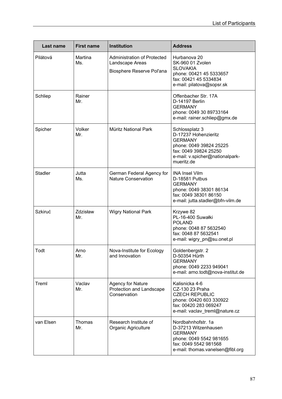| Last name      | <b>First name</b> | <b>Institution</b>                                                                 | <b>Address</b>                                                                                                                                                |
|----------------|-------------------|------------------------------------------------------------------------------------|---------------------------------------------------------------------------------------------------------------------------------------------------------------|
| Pilátová       | Martina<br>Ms.    | <b>Administration of Protected</b><br>Landscape Areas<br>Biosphere Reserve Pol'ana | Hurbanova 20<br><b>SK-960 01 Zvolen</b><br><b>SLOVAKIA</b><br>phone: 00421 45 5333657<br>fax: 00421 45 5334834<br>e-mail: pilatova@sopsr.sk                   |
| Schliep        | Rainer<br>Mr.     |                                                                                    | Offenbacher Str. 17A<br>D-14197 Berlin<br><b>GERMANY</b><br>phone: 0049 30 89733164<br>e-mail: rainer.schliep@gmx.de                                          |
| Spicher        | Volker<br>Mr.     | Müritz National Park                                                               | Schlossplatz 3<br>D-17237 Hohenzieritz<br><b>GERMANY</b><br>phone: 0049 39824 25225<br>fax: 0049 39824 25250<br>e-mail: v.spicher@nationalpark-<br>mueritz.de |
| <b>Stadler</b> | Jutta<br>Ms.      | German Federal Agency for<br><b>Nature Conservation</b>                            | <b>INA Insel Vilm</b><br>D-18581 Putbus<br><b>GERMANY</b><br>phone: 0049 38301 86134<br>fax: 0049 38301 86150<br>e-mail: jutta.stadler@bfn-vilm.de            |
| <b>Szkiruć</b> | Zdzisław<br>Mr.   | <b>Wigry National Park</b>                                                         | Krzywe 82<br>PL-16-400 Suwałki<br><b>POLAND</b><br>phone: 0048 87 5632540<br>fax: 0048 87 5632541<br>e-mail: wigry_pn@su.onet.pl                              |
| Todt           | Arno<br>Mr.       | Nova-Institute for Ecology<br>and Innovation                                       | Goldenbergstr. 2<br>D-50354 Hürth<br><b>GERMANY</b><br>phone: 0049 2233 949041<br>e-mail: arno.todt@nova-institut.de                                          |
| Treml          | Vaclav<br>Mr.     | <b>Agency for Nature</b><br>Protection and Landscape<br>Conservation               | Kalisnicka 4-6<br>CZ-130 23 Praha<br><b>CZECH REPUBLIC</b><br>phone: 00420 603 330922<br>fax: 00420 283 069247<br>e-mail: vaclav_treml@nature.cz              |
| van Elsen      | Thomas<br>Mr.     | Research Institute of<br>Organic Agriculture                                       | Nordbahnhofstr. 1a<br>D-37213 Witzenhausen<br><b>GERMANY</b><br>phone: 0049 5542 981655<br>fax: 0049 5542 981568<br>e-mail: thomas.vanelsen@fibl.org          |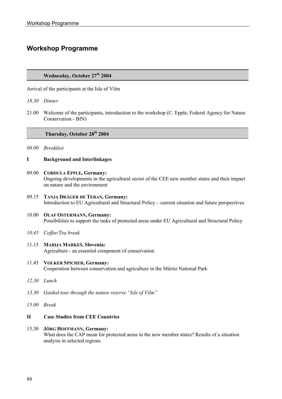# **Workshop Programme**

### **Wednesday, October 27th 2004**

Arrival of the participants at the Isle of Vilm

- *18.30 Dinner*
- 21.00 Welcome of the participants, introduction to the workshop (C. Epple, Federal Agency for Nature Conservation - BfN)

### **Thursday, October 28th 2004**

- *08.00 Breakfast*
- **I Background and Interlinkages**
- 09.00 **CORDULA EPPLE, Germany:**  Ongoing developments in the agricultural sector of the CEE new member states and their impact on nature and the environment
- 09.15 **TANJA DRÄGER DE TERAN, Germany:** Introduction to EU Agricultural and Structural Policy – current situation and future perspectives
- 10.00 **OLAF OSTERMANN, Germany:**  Possibilities to support the tasks of protected areas under EU Agricultural and Structural Policy
- *10.45 Coffee/Tea break*
- 11.15 **MARIJA MARKEŠ, Slovenia:**  Agriculture - an essential component of conservation
- 11.45 **VOLKER SPICHER, Germany:**  Cooperation between conservation and agriculture in the Müritz National Park
- *12.30 Lunch*
- *13.30 Guided tour through the nature reserve "Isle of Vilm"*
- *15.00 Break*

### **II Case Studies from CEE Countries**

#### 15.30 **JÖRG HOFFMANN, Germany:**

What does the CAP mean for protected areas in the new member states? Results of a situation analysis in selected regions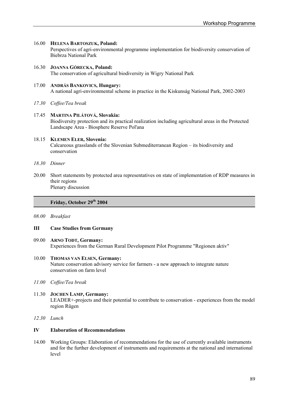### 16.00 **HELENA BARTOSZUK, Poland:**

Perspectives of agri-environmental programme implementation for biodiversity conservation of Biebrza National Park

16.30 **JOANNA GÓRECKA, Poland:**  The conservation of agricultural biodiversity in Wigry National Park

### 17.00 **ANDRÁS BANKOVICS, Hungary:** A national agri-environmental scheme in practice in the Kiskunság National Park, 2002-2003

*17.30 Coffee/Tea break* 

### 17.45 **MARTINA PILÁTOVÁ, Slovakia:** Biodiversity protection and its practical realization including agricultural areas in the Protected Landscape Area - Biosphere Reserve Pol'ana

### 18.15 **KLEMEN ELER, Slovenia:**  Calcareous grasslands of the Slovenian Submediterranean Region – its biodiversity and conservation

- *18.30 Dinner*
- 20.00 Short statements by protected area representatives on state of implementation of RDP measures in their regions Plenary discussion

### **Friday, October 29th 2004**

*08.00 Breakfast* 

### **III Case Studies from Germany**

09.00 **ARNO TODT, Germany:** Experiences from the German Rural Development Pilot Programme "Regionen aktiv"

### 10.00 **THOMAS VAN ELSEN, Germany:**

Nature conservation advisory service for farmers - a new approach to integrate nature conservation on farm level

*11.00 Coffee/Tea break* 

### 11.30 **JOCHEN LAMP, Germany:**  LEADER+-projects and their potential to contribute to conservation - experiences from the model region Rügen

*12.30 Lunch* 

### **IV Elaboration of Recommendations**

14.00 Working Groups: Elaboration of recommendations for the use of currently available instruments and for the further development of instruments and requirements at the national and international level